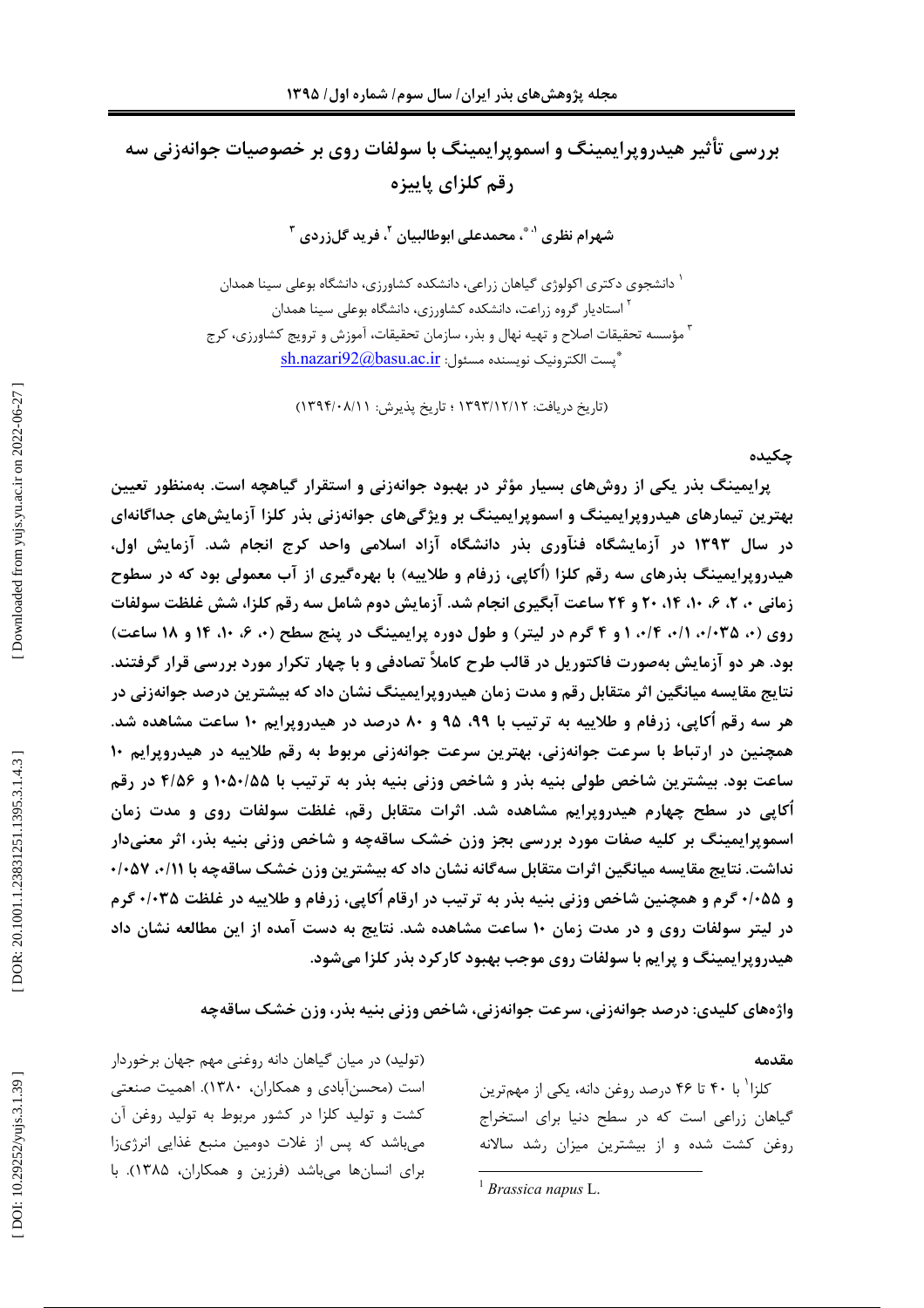بررسی تأثیر هیدروپرایمینگ و اسموپرایمینگ با سولفات روی بر خصوصیات جوانهزنی سه رقم كلزاي ياييزه

شهرام نظري ' ؓ ، محمدعلي ابوطالبيان <sup>۲</sup>، فريد گلزردي <sup>۳</sup>

<sup>۱</sup> دانشجوی دکتری اکولوژی گیاهان زراعی، دانشکده کشاورزی، دانشگاه بوعلی سینا همدان <sup>۲</sup> استادیار گروه زراعت، دانشکده کشاورزی، دانشگاه بوعلی سینا همدان <sup>۳</sup> مؤسسه تحقیقات اصلاح و تهیه نهال و بذر، سازمان تحقیقات، آموزش و ترویج کشاورزی، کرج \*پست الكترونيک نويسنده مسئول: sh.nazari92@basu.ac.ir

(تاریخ دریافت: ۱۳۹۳/۱۲/۱۲ ؛ تاریخ پذیرش: ۱۳۹۴/۰۸/۱۱)

#### جكىدە

پرایمینگ بذر یکی از روشهای بسیار مؤثر در بهبود جوانهزنی و استقرار گیاهچه است. بهمنظور تعیین بهترین تیمارهای هیدروپرایمینگ و اسموپرایمینگ بر ویژگیهای جوانهزنی بذر کلزا آزمایشهای جداگانهای در سال ۱۳۹۳ در آزمایشگاه فنآوری بذر دانشگاه آزاد اسلامی واحد کرج انجام شد. آزمایش اول، هیدروپرایمینگ بذرهای سه رقم کلزا (اُکایی، زرفام و طلاییه) با بهرهگیری از آب معمولی بود که در سطوح زمانی ۰، ۲، ۶، ۱۰، ۱۴، ۲۰ و ۲۴ ساعت آبگیری انجام شد. آزمایش دوم شامل سه رقم کلزا، شش غلظت سولفات روی (۰، ۰/۰۳۵ ۰/۱، ۰/۲، ۱ و ۴ گرم در لیتر) و طول دوره پرایمینگ در پنج سطح (۰، ۶، ۱۰، ۱۴ و ۱۸ ساعت) بود. هر دو آزمایش بهصورت فاکتوریل در قالب طرح کاملاً تصادفی و با چهار تکرار مورد بررسی قرار گرفتند. نتایج مقایسه میانگین اثر متقابل رقم و مدت زمان هیدروپرایمینگ نشان داد که بیشترین درصد جوانهزنی در هر سه رقم اُکایی، زرفام و طلاییه به ترتیب با ۹۹، ۹۵ و ۸۰ درصد در هیدروپرایم ۱۰ ساعت مشاهده شد. همچنین در ارتباط با سرعت جوانهزنی، بهترین سرعت جوانهزنی مربوط به رقم طلاییه در هیدروپرایم ۱۰ ساعت بود. بیشترین شاخص طولی بنیه بذر و شاخص وزنی بنیه بذر به ترتیب با ۱۰۵۰/۵۵ و ۴/۵۶ در رقم آکاپی در سطح چهارم هیدروپرایم مشاهده شد. اثرات متقابل رقم، غلظت سولفات روی و مدت زمان اسموپرایمینگ بر کلیه صفات مورد بررسی بجز وزن خشک ساقهچه و شاخص وزنی بنیه بذر، اثر معنیدار نداشت. نتایج مقایسه میانگین اثرات متقابل سهگانه نشان داد که بیشترین وزن خشک ساقهچه با ۱۱/۰، ۰/۰۵۷ و ۰/۰۵۵ گرم و همچنین شاخص وزنی بنیه بذر به ترتیب در ارقام اُکاپی، زرفام و طلاییه در غلظت ۰/۰۳۵ گرم در لیتر سولفات روی و در مدت زمان ۱۰ ساعت مشاهده شد. نتایج به دست آمده از این مطالعه نشان داد هیدروپرایمینگ و پرایم با سولفات روی موجب بهبود کارکرد بذر کلزا میشود.

واژههای کلیدی: درصد جوانهزنی، سرعت جوانهزنی، شاخص وزنی بنیه بذر، وزن خشک ساقهچه

#### مقدمه

کلزا' با ۴۰ تا ۴۶ درصد روغن دانه، یکی از مهمترین گیاهان زراعی است که در سطح دنیا برای استخراج روغن کشت شده و از بیشترین میزان رشد سالانه

<sup>(</sup>تولید) در میان گیاهان دانه روغنی مهم جهان برخوردار است (محسنآبادی و همکاران، ۱۳۸۰). اهمیت صنعتی کشت و تولید کلزا در کشور مربوط به تولید روغن آن میباشد که پس از غلات دومین منبع غذایی انرژیزا برای انسانها میباشد (فرزین و همکاران، ۱۳۸۵). با

<sup>&</sup>lt;sup>1</sup> Brassica napus L.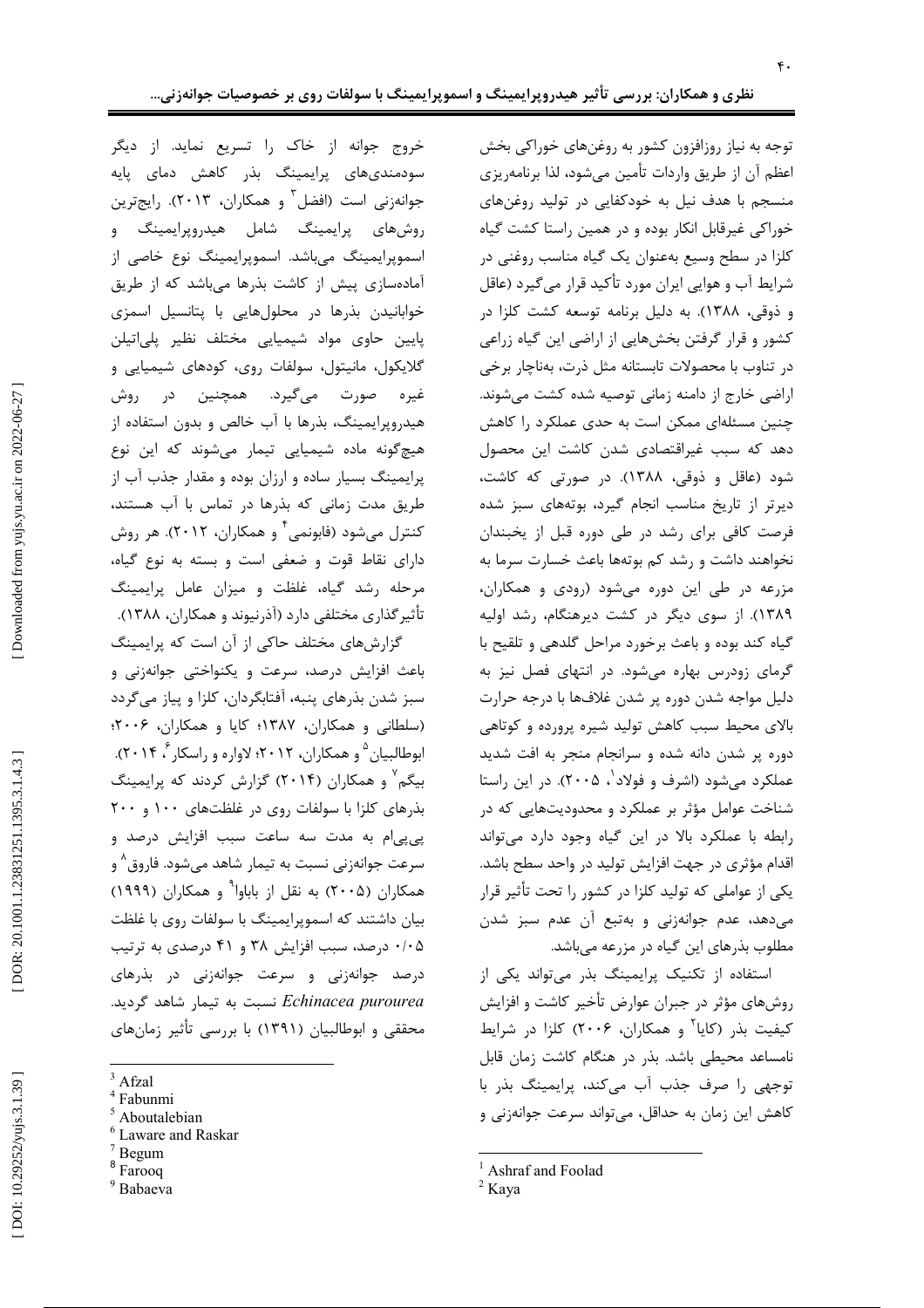توجه به نیاز روزافزون کشور به روغنهای خوراکی بخش اعظم آن از طریق واردات تأمین میشود، لذا برنامهریزی منسجم با هدف نیل به خودکفایی در تولید روغنهای خوراکی غیرقابل انکار بوده و در همین راستا کشت گیاه کلزا در سطح وسیع بهعنوان یک گیاه مناسب روغنی در شرایط آب و هوایی ایران مورد تأکید قرار میگیرد (عاقل و ذوقی، ۱۳۸۸). به دلیل برنامه توسعه کشت کلزا در کشور و قرار گرفتن بخشهایی از اراضی این گیاه زراعی در تناوب با محصولات تابستانه مثل ذرت، بهناچار برخی اراضی خارج از دامنه زمانی توصیه شده کشت می شوند. چنین مسئلهای ممکن است به حدی عملکرد را کاهش دهد که سبب غیراقتصادی شدن کاشت این محصول شود (عاقل و ذوقی، ۱۳۸۸). در صورتی که کاشت، دیرتر از تاریخ مناسب انجام گیرد، بوتههای سبز شده فرصت کافی برای رشد در طی دوره قبل از یخبندان نخواهند داشت و رشد کم بوتهها باعث خسارت سرما به مزرعه در طی این دوره می شود (رودی و همکاران، ١٣٨٩). از سوى ديگر در كشت ديرهنگام، رشد اوليه گیاه کند بوده و باعث برخورد مراحل گلدهی و تلقیح با گرمای زودرس بهاره می شود. در انتهای فصل نیز به دلیل مواجه شدن دوره پر شدن غلافها با درجه حرارت بالای محیط سبب کاهش تولید شیره پرورده و کوتاهی دوره پر شدن دانه شده و سرانجام منجر به افت شدید عملکرد می شود (اشرف و فولاد ٰ، ۲۰۰۵). در این راستا شناخت عوامل مؤثر بر عملکرد و محدودیتهایی که در رابطه با عملكرد بالا در اين گياه وجود دارد مى تواند اقدام مؤثری در جهت افزایش تولید در واحد سطح باشد. یکی از عواملی که تولید کلزا در کشور را تحت تأثیر قرار می دهد، عدم جوانهزنی و بهتبع آن عدم سبز شدن مطلوب بذرهای این گیاه در مزرعه میباشد.

استفاده از تکنیک پرایمینگ بذر میتواند یکی از روشهای مؤثر در جبران عوارض تأخیر کاشت و افزایش کیفیت بذر (کایا<sup>۲</sup> و همکاران، ۲۰۰۶) کلزا در شرایط نامساعد محیطی باشد. بذر در هنگام کاشت زمان قابل توجهي را صرف جذب آب مي كند، پرايمينگ بذر با کاهش این زمان به حداقل، می تواند سرعت جوانهزنی و

خروج جوانه از خاک را تسریع نماید. از دیگر سودمندیهای پرایمینگ بذر کاهش دمای پایه جوانەزنى است (افضل<sup>۳</sup> و ھمكاران، ۲۰۱۳). رايجترين روشهای پرایمینگ شامل هیدروپرایمینگ و اسموپرایمینگ میباشد. اسموپرایمینگ نوع خاصی از آمادهسازی پیش از کاشت بذرها میباشد که از طریق خوابانیدن بذرها در محلولهایی با پتانسیل اسمزی پایین حاوی مواد شیمیایی مختلف نظیر پلیاتیلن گلایکول، مانیتول، سولفات روی، کودهای شیمیایی و غيره صورت ميگيرد. همچنين د<sub>ر ر</sub>وش هیدروپرایمینگ، بذرها با آب خالص و بدون استفاده از هیچ گونه ماده شیمیایی تیمار می شوند که این نوع پرایمینگ بسیار ساده و ارزان بوده و مقدار جذب آب از طریق مدت زمانی که بذرها در تماس با آب هستند، کنترل میشود (فابونمی<sup>۴</sup> و همکاران، ۲۰۱۲). هر روش دارای نقاط قوت و ضعفی است و بسته به نوع گیاه، مرحله رشد گیاه، غلظت و میزان عامل پرایمینگ تأثیر گذاری مختلفی دارد (آذرنیوند و همکاران، ۱۳۸۸). گزارشهای مختلف حاکی از آن است که پرایمینگ

باعث افزایش درصد، سرعت و یکنواختی جوانهزنی و سبز شدن بذرهای پنبه، آفتابگردان، کلزا و پیاز می گردد (سلطانی و همکاران، ۱۳۸۷؛ کایا و همکاران، ۲۰۰۶؛ ابوطالبیان <sup>۵</sup> و همکاران، ۲۰۱۲؛ لاواره و راسکار ۲۰۱۴ گ). بیگم<sup>۷</sup> و همکاران (۲۰۱۴) گزارش کردند که پرایمینگ بذرهای کلزا با سولفات روی در غلظتهای ۱۰۰ و ۲۰۰ پی پی ام به مدت سه ساعت سبب افزایش درصد و سرعت جوانهزنی نسبت به تیمار شاهد میشود. فاروق^ و همکاران (۲۰۰۵) به نقل از باباوا<sup>۹</sup> و همکاران (۱۹۹۹) بیان داشتند که اسموپرایمینگ با سولفات روی با غلظت ۰/۰۵ درصد، سبب افزایش ۳۸ و ۴۱ درصدی به ترتیب درصد جوانهزنی و سرعت جوانهزنی در بذرهای Echinacea purourea نسبت به تيمار شاهد گرديد. محققی و ابوطالبیان (۱۳۹۱) با بررسی تأثیر زمانهای

- $^4$ Fabunmi Aboutalebian
- Laware and Raskar
- Begum
- - <sup>8</sup> Farooq
	- <sup>9</sup> Babaeva

<sup>&</sup>lt;sup>1</sup> Ashraf and Foolad

 $2$  Kaya

 $3$  Afzal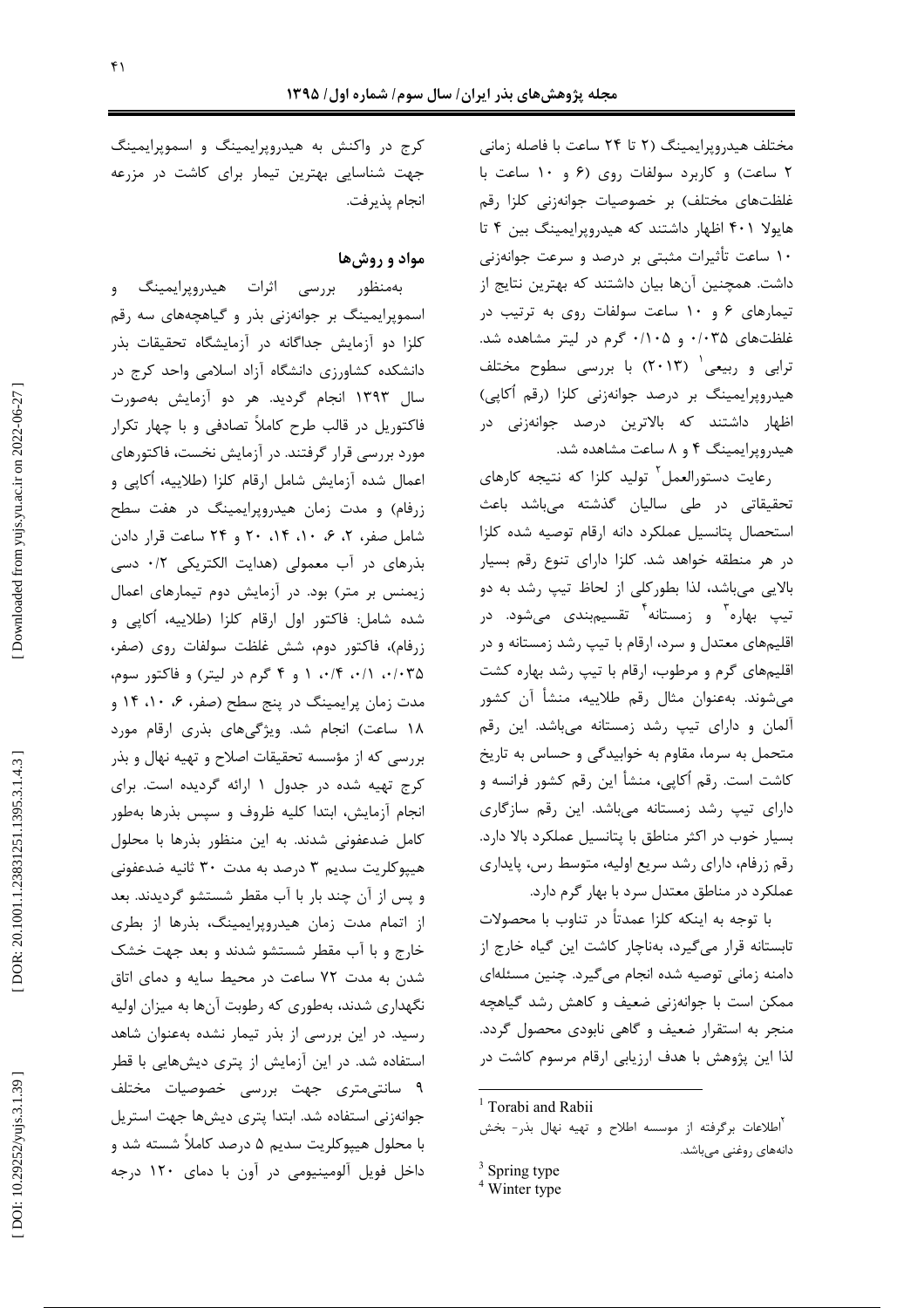مختلف هیدروپرایمینگ (۲ تا ۲۴ ساعت با فاصله زمانی ۲ ساعت) و کاربرد سولفات روی (۶ و ۱۰ ساعت با غلظتهای مختلف) بر خصوصیات جوانهزنی کلزا رقم هایولا ۴۰۱ اظهار داشتند که هیدروپرایمینگ بین ۴ تا ۱۰ ساعت تأثیرات مثبتی بر درصد و سرعت جوانهزنی داشت. همچنین آنها بیان داشتند که بهترین نتایج از تیمارهای ۶ و ۱۰ ساعت سولفات روی به ترتیب در . غلظتهای ۰/۰۳۵ و ۰/۱۰۵ گرم در لیتر مشاهده شد ترابی و ربیعی<sup>۱</sup> (۲۰۱۳) با بررسی سطوح مختلف į هیدروپرایمینگ بر درصد جوانهزنی کلزا (رقم أکاپی) اظهار داشتند که بالاترین درصد جوانهزنی در هیدروپرایمینگ ۴ و ۸ ساعت مشاهده شد.

رعايت دستورالعمل<sup>٢</sup> توليد كلزا كه نتيجه كارهاي تحقیقاتی در طی سالیان گذشته میباشد باعث į ļ استحصال پتانسیل عملکرد دانه ارقام توصیه شده کلزا در هر منطقه خواهد شد. کلزا دارای تنوع رقم بسیار الایی میباشد، لذا بطورکلی از لحاظ تیپ رشد به دو ė į تیپ بهاره<sup>۳</sup> و زمستانه<sup>۴</sup> تقسیم<sub>ا</sub>بندی میشود. در . اقلیمهای معتدل و سرد، ارقام با تیپ رشد زمستانه و در اقلیمهای گرم و مرطوب، ارقام با تیپ رشد بهاره کشت میشوند. بهعنوان مثال رقم طلاییه، منشأ أن کشور . آلمان و دارای تیپ رشد زمستانه میباشد. این رقم . į متحمل به سرما، مقاوم به خوابیدگی و حساس به تاریخ کاشت است. رقم اُکاپی، منشأ این رقم کشور فرانسه و . دارای تیپ رشد زمستانه میباشد. این رقم سازگاری . ė . بسیار خوب در اکثر مناطق با پتانسیل عملکرد بالا دارد رقم زرفام، دارای رشد سریع اولیه، متوسط رس، پایداری . عملکرد در مناطق معتدل سرد با بهار گرم دارد

ا توجه به اينكه كلزا عمدتاً در تناوب با محصولات ļ تابستانه قرار میگیرد، بهناچار کاشت این گیاه خارج از .<br>د دامنه زمانی توصیه شده انجام میگیرد. چنین مسئلهای  $\overline{\phantom{a}}$ . ممکن است با جوانهزنی ضعیف و کاهش رشد گیاهچه . منجر به استقرار ضعیف و گاهی نابودی محصول گردد لذا این پژوهش با هدف ارزیابی ارقام مرسوم کاشت در

کرج در واکنش به هیدروپرایمینگ و اسموپرایمینگ جهت شناسایی بهترین تیمار برای کاشت در مزرعه انجام پذيرفت.

## مواد و روشها

بهمنظور بررسي اثرات هيدروپرايمينگ و اسموپرایمینگ بر جوانهزنی بذر و گیاهچههای سه رقم کلزا دو آزمایش جداگانه در آزمایشگاه تحقیقات بذر دانشکده کشاورزی دانشگاه آزاد اسلامی واحد کرج در سال ۱۳۹۳ انجام گردید. هر دو آزمایش بهصورت فاکتوریل در قالب طرح کاملاً تصادفی و با چهار تکرار į مورد بررسی قرار گرفتند. در آزمایش نخست، فاکتورهای اعمال شده آزمایش شامل ارقام کلزا (طلاییه، اُکاپی و زرفام) و مدت زمان هیدروپرایمینگ در هفت سطح شامل صفر، ۲، ۶، ۱۰، ۲۰ و ۲۴ ساعت قرار دادن بذرهای در آب معمولی (هدایت الکتریکی ۰/۲ دسی زیمنس بر متر) بود. در آزمایش دوم تیمارهای اعمال . شده شامل: فاكتور اول ارقام كلزا (طلاييه، أكاپى و زرفام)، فاكتور دوم، شش غلظت سولفات روى (صفر، ۰/۰۳۵ ۰/۱۰ ۱۰/۴ و ۴ گرم در لیتر) و فاکتور سوم، مدت زمان پرایمینگ در پنج سطح (صفر، ۶، ۱۰، ۱۴ و ۱۸ ساعت) انجام شد. ویژگیهای بذری ارقام مورد . بررسی که از مؤسسه تحقیقات اصلاح و تهیه نهال و بذر کرج تهیه شده در جدول ۱ ارائه گردیده است. برای . انجام آزمایش، ابتدا کلیه ظروف و سپس بذرها بهطور کامل ضدعفونی شدند. به این منظور بذرها با محلول هیپوکلریت سدیم ۳ درصد به مدت ۳۰ ثانیه ضدعفونی و پس از آن چند بار با آب مقطر شستشو گردیدند. بعد . ļ از اتمام مدت زمان هیدروپرایمینگ، بذرها از بطری خارج و با آب مقطر شستشو شدند و بعد جهت خشک ļ شدن به مدت ۷۲ ساعت در محیط سایه و دمای اتاق نگهداری شدند، بهطوری که رطوبت آنها به میزان اولیه رسید. در این بررسی از بذر تیمار نشده بهعنوان شاهد استفاده شد. در این آزمایش از پتری دیشهایی با قطر į ۹ سانتیمتری جهت بررسی خصوصیات مختلف جوانهزنی استفاده شد. ابتدا پتری دیشها جهت استریل . ا محلول هیپوکلریت سدیم ۵ درصد کاملاً شسته شد و ė داخل فویل آلومینیومی در آون با دمای ۱۲۰ درجه

 $1$  Torabi and Rabii

<sup>۔&</sup>lt;br><sup>۲</sup>اطلاعات برگرفته از موسسه اطلاح و تهیه نهال بذر- بخش دانەھاي روغنى مىباشد.

 $\frac{3}{4}$  Spring type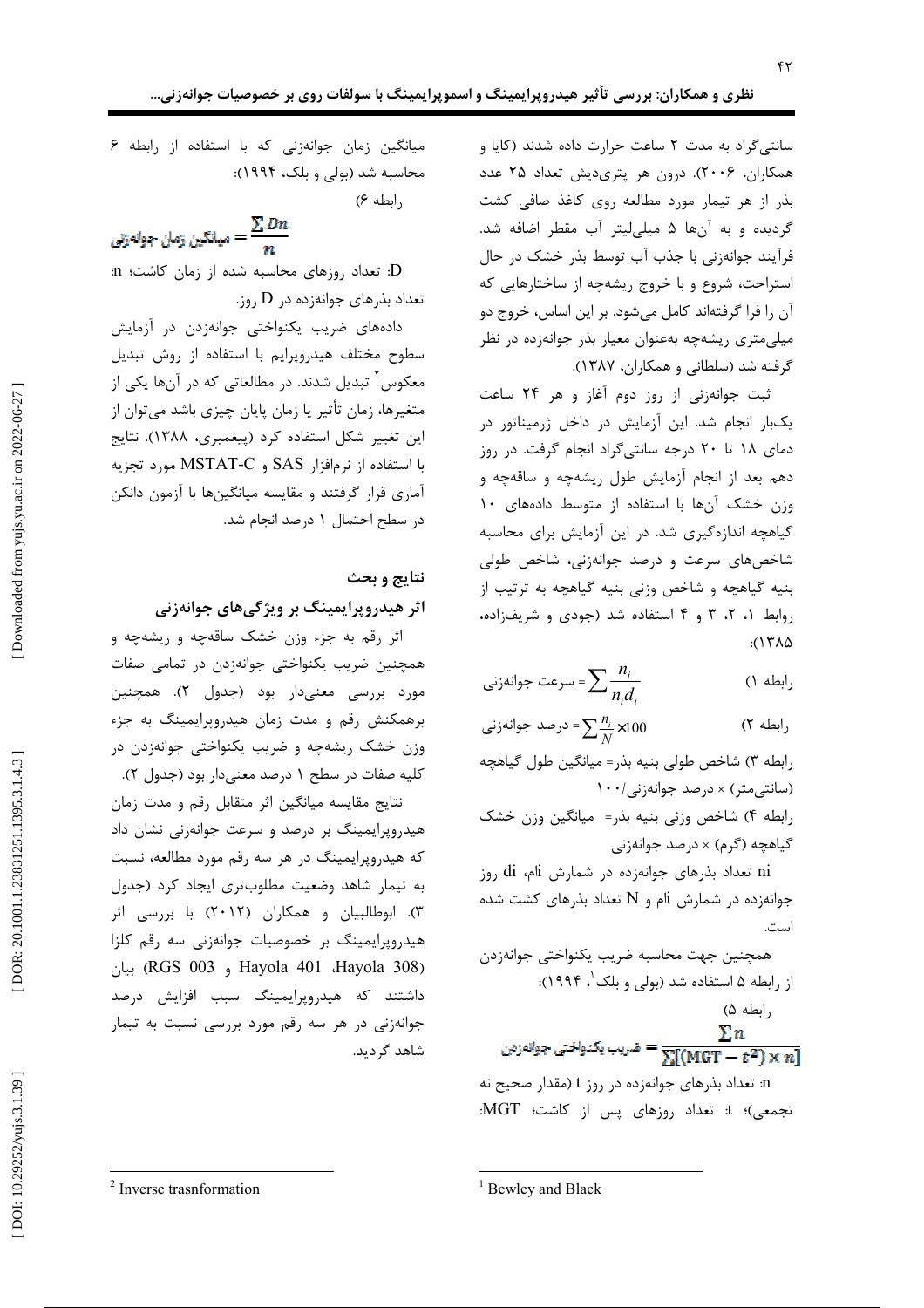سانتی گراد به مدت ٢ ساعت حرارت داده شدند (كايا و همکاران، ۲۰۰۶). درون هر پتریدیش تعداد ۲۵ عدد بذر از هر تیمار مورد مطالعه روی کاغذ صافی کشت گردیده و به آنها ۵ میلی لیتر آب مقطر اضافه شد. فرآیند جوانه;نی با جذب آب توسط بذر خشک در حال استراحت، شروع و با خروج ریشهچه از ساختارهایی که آن را فرا گرفتهاند کامل میشود. بر این اساس، خروج دو میلیمتری ریشهچه بهعنوان معیار بذر جوانهزده در نظر گرفته شد (سلطانی و همکاران، ۱۳۸۷).

ثبت جوانهزنی از روز دوم آغاز و هر ۲۴ ساعت یکبار انجام شد. این آزمایش در داخل ژرمیناتور در دمای ۱۸ تا ۲۰ درجه سانتی گراد انجام گرفت. در روز دهم بعد از انجام آزمایش طول ریشهچه و ساقهچه و وزن خشک آنها با استفاده از متوسط دادههای ١٠ گیاهچه اندازهگیری شد. در این آزمایش برای محاسبه شاخصهای سرعت و درصد جوانهزنی، شاخص طولی بنيه گياهچه و شاخص وزني بنيه گياهچه به ترتيب از روابط ۰٫ ۲، ۳ و ۴ استفاده شد (جودی و شریفزاده،  $2(15\lambda)$ 

$$
\frac{n_i}{n_i d_i} = \sum \frac{n_i}{n_i d_i}
$$
 (1)

$$
\sum_{i=1}^{n} \frac{n_i}{N} \times 100
$$
 (7)

رابطه ٣) شاخص طولي بنيه بذر= ميانكين طول گياهچه (سانتی متر) × درصد جوانهزنی/١٠٠

رابطه ۴) شاخص وزني بنيه بذر= ميانگين وزن خشک گیاهچه (گرم) × درصد جوانهزنی

ni تعداد بذرهای جوانهزده در شمارش di روز جوانهزده در شمارش ji و N تعداد بذرهای کشت شده است.

$$
\sum n
$$
و<sub>ا</sub>ئەزىن 
$$
= \frac{\sum n}{\sum [(\text{MGT} - t^2) \times n]}
$$

n: تعداد بذرهای جوانهزده در روز t (مقدار صحیح نه تجمعی)؛ t: تعداد روزهای پس از کاشت؛ MGT:

(ابطه ۶)

يىلئكىن زمان جوانەزنى
$$
= \frac{\sum Dn}{n}
$$

D: تعداد روزهای محاسبه شده از زمان کاشت؛ n: تعداد بذرهای جوانهزده در D روز.

دادههای ضریب یکنواختی جوانهزدن در آزمایش سطوح مختلف هيدروپرايم با استفاده از روش تبديل معکوس<sup>۲</sup> تبدیل شدند. در مطالعاتی که در آنها یکی از متغیرها، زمان تأثیر یا زمان پایان چیزی باشد میتوان از این تغییر شکل استفاده کرد (پیغمبری، ۱۳۸۸). نتایج با استفاده از نرمافزار SAS و MSTAT-C مورد تجزیه آماری قرار گرفتند و مقایسه میانگینها با آزمون دانکن د, سطح احتمال ١ درصد انجام شد.

### نتايج و بحث

## اثر هیدروپرایمینگ بر ویژگیهای جوانهزنی

اثر رقم به جزء وزن خشک ساقهچه و ریشهچه و همچنین ضریب یکنواختی جوانهزدن در تمامی صفات مورد بررسی معنیدار بود (جدول ۲). همچنین برهمکنش رقم و مدت زمان هیدروپرایمینگ به جزء وزن خشک ریشهچه و ضریب یکنواختی جوانهزدن در کليه صفات در سطح ١ درصد معنىدار بود (جدول ٢).

نتایج مقایسه میانگین اثر متقابل رقم و مدت زمان هیدروپرایمینگ بر درصد و سرعت جوانهزنی نشان داد که هیدروپرایمینگ در هر سه رقم مورد مطالعه، نسبت به تیمار شاهد وضعیت مطلوبتری ایجاد کرد (جدول ۳). ابوطالبیان و همکاران (۲۰۱۲) با بررسی اثر هیدروپرایمینگ بر خصوصیات جوانهزنی سه رقم کلزا Hayola 401 ،Hayola 308) بيان (RGS 003 و داشتند که هیدرویرایمینگ سبب افزایش درصد جوانهزنی در هر سه رقم مورد بررسی نسبت به تیمار شاهد گردید.

<sup>2</sup> Inverse trasnformation

میانگین زمان جوانهزنی که با استفاده از رابطه ۶ محاسبه شد (بولی و بلک، ۱۹۹۴):

<sup>&</sup>lt;sup>1</sup> Bewley and Black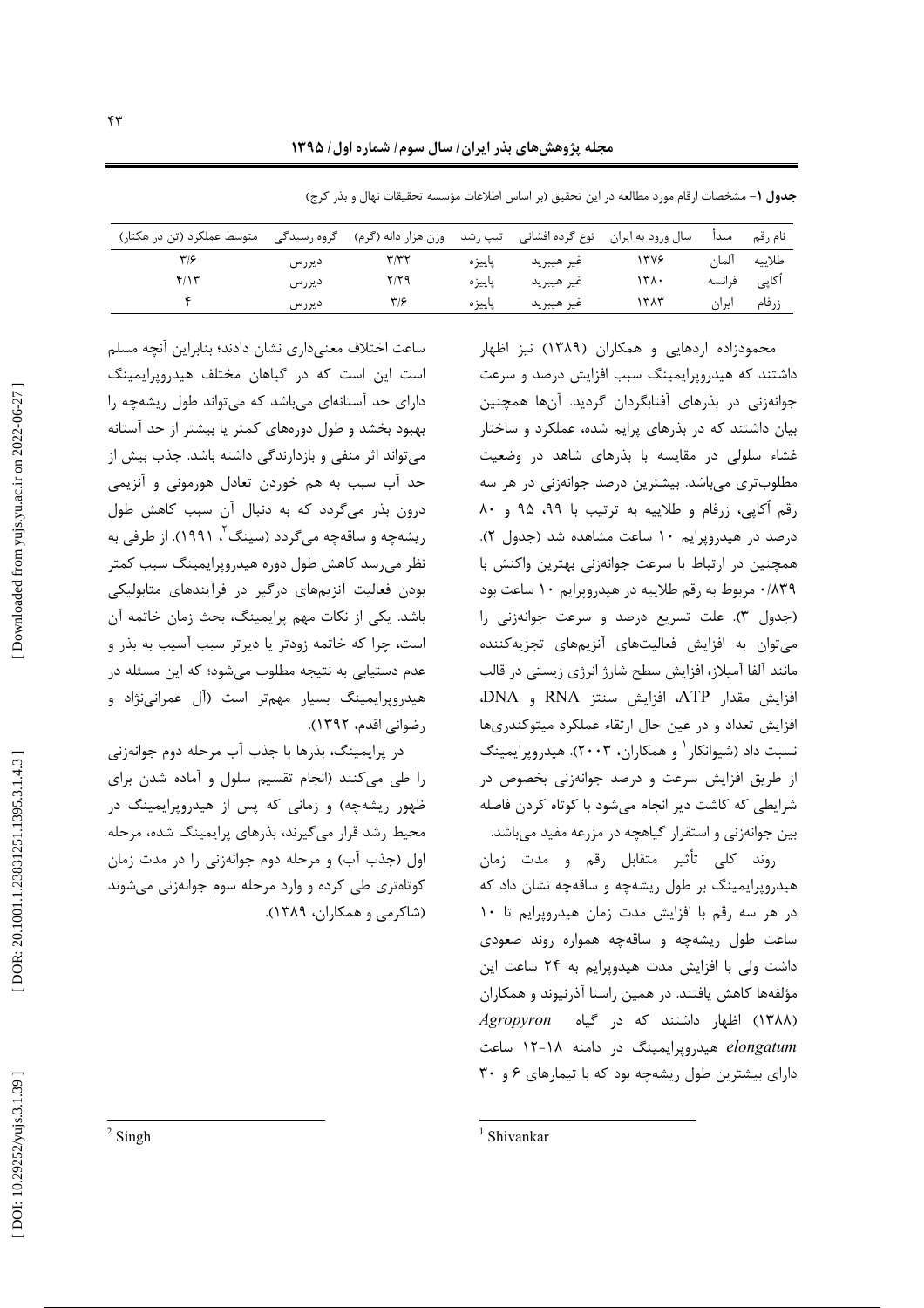| متوسط عملکرد (تن در هکتار) | گروه رسیدگی | وزن هزار دانه (گرم) | تیپ رشد | نوع گرده افشانی | سال ورود به ايران | مىدا   | نام , قم |
|----------------------------|-------------|---------------------|---------|-----------------|-------------------|--------|----------|
| ۳۱۶                        | ديررس       |                     | پاييزه  | غير هيبريد      | ۳۷۶               | المان  | طلاييه   |
| ۴/۱۳                       | ديررس       | ۲/۲۹                | ياييز ہ | غير هيبريد      | ۳۸.               | ف انسه | آکاپی    |
|                            | ديررس       | ۳۱۶                 | پاييزه  | عير هيبريد      | ۱۳۸۳              | ایران  | زرفام    |

جدول 1– مشخصات ارقام مورد مطالعه در این تحقیق (بر اساس اطلاعات مؤسسه تحقیقات نهال و بذر کرج)

محمودزاده اردهایی و همکاران (۱۳۸۹) نیز اظهار داشتند که هیدروپرایمینگ سبب افزایش درصد و سرعت جوانەزنى در بذرهاى أفتابگردان گرديد. آنها همچنين بیان داشتند که در بذرهای پرایم شده، عملکرد و ساختار غشاء سلولی در مقایسه با بذرهای شاهد در وضعیت مطلوبتری می باشد. بیشترین درصد جوانهزنی در هر سه رقم أكايي، زرفام و طلاييه به ترتيب با ٩٩، ٩٥ و ٨٠ درصد در هیدرویرایم ۱۰ ساعت مشاهده شد (جدول ۲). همچنین در ارتباط با سرعت جوانهزنی بهترین واکنش با ٠/٨٣٩ مربوط به رقم طلاييه در هيدروپرايم ١٠ ساعت بود (جدول ٣). علت تسريع درصد و سرعت جوانهزني را می توان به افزایش فعالیتهای آنزیمهای تجزیهکننده مانند آلفا آمیلاز، افزایش سطح شارژ انرژی زیستی در قالب افزايش مقدار ATP، افزايش سنتز RNA و DNA، افزايش تعداد و در عين حال ارتقاء عملكرد ميتوكندرىها نسبت داد (شیوانکار ` و همکاران، ۲۰۰۳). هیدرویرایمینگ از طریق افزایش سرعت و درصد جوانهزنی بخصوص در شرایطی که کاشت دیر انجام میشود با کوتاه کردن فاصله بین جوانهزنی و استقرار گیاهچه در مزرعه مفید میباشد.

روند كلى تأثير متقابل رقم و مدت زمان هیدروپرایمینگ بر طول ریشهچه و ساقهچه نشان داد که در هر سه رقم با افزایش مدت زمان هیدروپرایم تا ١٠ ساعت طول ریشهچه و ساقهچه همواره روند صعودی داشت ولی با افزایش مدت هیدوپرایم به ۲۴ ساعت این مؤلفهها کاهش یافتند. در همین راستا آذرنیوند و همکاران (۱۳۸۸) اظهار داشتند که در گیاه Agropyron elongatum هیدرویرایمینگ در دامنه ۱۸-۱۲ ساعت دارای بیشترین طول ریشهچه بود که با تیمارهای ۶ و ۳۰

ساعت اختلاف معنىدارى نشان دادند؛ بنابراين آنچه مسلم است این است که در گیاهان مختلف هیدروپرایمینگ دارای حد آستانهای میباشد که می تواند طول ریشهچه را بهبود بخشد و طول دورههای کمتر یا بیشتر از حد آستانه می تواند اثر منفی و بازدارندگی داشته باشد. جذب بیش از حد آب سبب به هم خوردن تعادل هورمونی و آنزیمی درون بذر میگردد که به دنبال آن سبب کاهش طول ریشهچه و ساقهچه می گردد (سینگ<sup>۲</sup>، ۱۹۹۱). از طرفی به نظر می رسد کاهش طول دوره هیدروپرایمینگ سبب کمتر بودن فعالیت آنزیمهای درگیر در فرآیندهای متابولیکی باشد. یکی از نکات مهم پرایمینگ، بحث زمان خاتمه آن است، چرا که خاتمه زودتر یا دیرتر سبب آسیب به بذر و عدم دستیابی به نتیجه مطلوب میشود؛ که این مسئله در هیدروپرایمینگ بسیار مهمتر است (آل عمرانینژاد و , ضواني اقدم، ١٣٩٢).

در پرایمینگ، بذرها با جذب آب مرحله دوم جوانهزنی را طی میکنند (انجام تقسیم سلول و آماده شدن برای ظهور ریشهچه) و زمانی که پس از هیدروپرایمینگ در محیط رشد قرار میگیرند، بذرهای پرایمینگ شده، مرحله اول (جذب آب) و مرحله دوم جوانهزنی را در مدت زمان کوتاهتری طی کرده و وارد مرحله سوم جوانهزنی می شوند (شاکرمی و همکاران، ۱۳۸۹).

 $2$  Singh

 $1$  Shivankar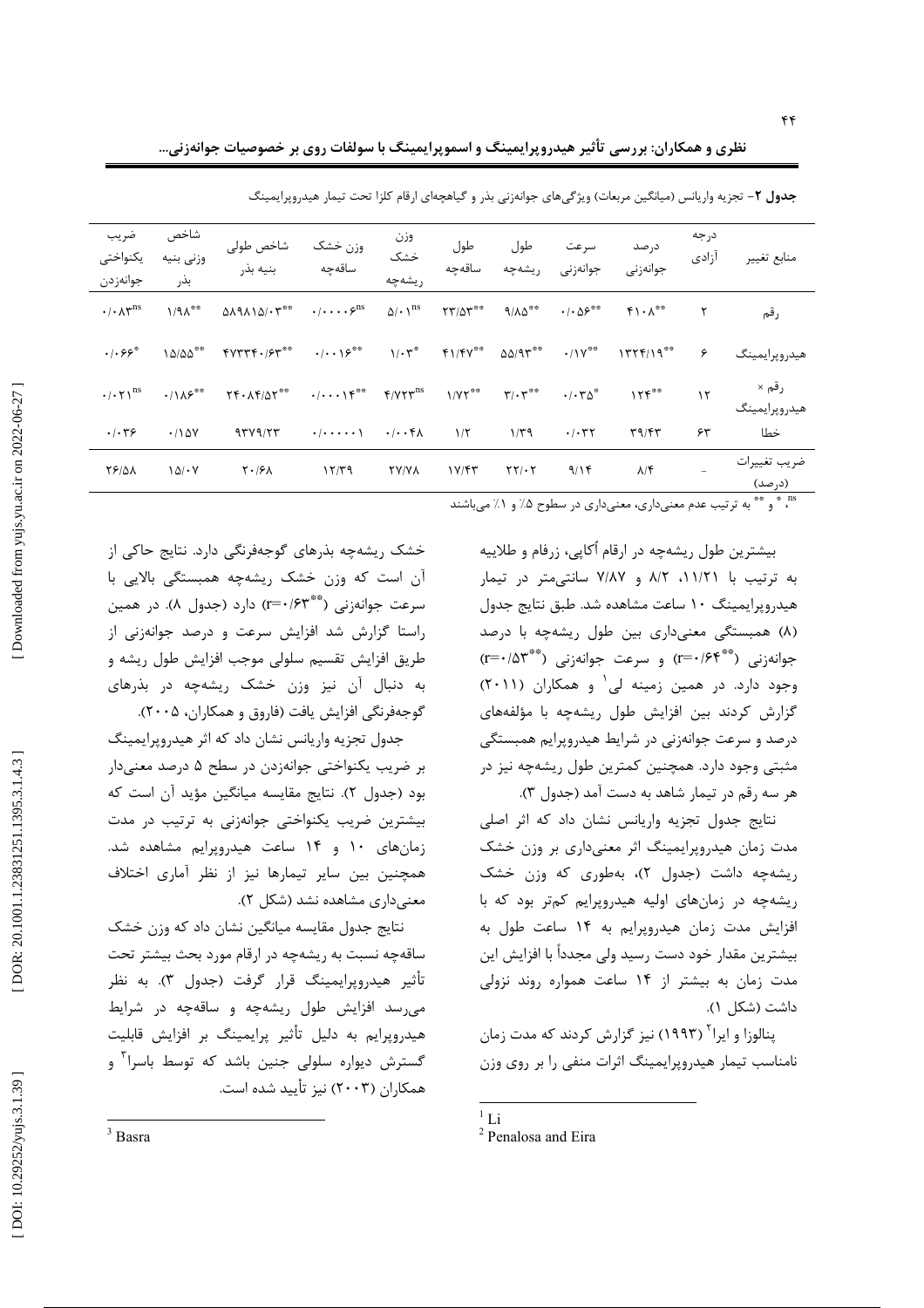نظری و همکاران: بررسی تأثیر هیدروپرایمینگ و اسموپرایمینگ با سولفات روی بر خصوصیات جوانهزنی…

| ضريب<br>يكنواختى<br>جوانەزدن            | شاخص<br>وزنى بنيه<br>بذر   | شاخص طولى<br>بنيه بذر                               | وزن خشک<br>ساقەچە                                                                                    | وزن<br>خشک<br>ريشەچە         | طول<br>ساقەحە                              | طول<br>. يشەچە                          | سر عت<br>جوانەزنى                   | در صد<br>جوانەزنى                | د, جه<br>آزادى | منابع تغيير                         |
|-----------------------------------------|----------------------------|-----------------------------------------------------|------------------------------------------------------------------------------------------------------|------------------------------|--------------------------------------------|-----------------------------------------|-------------------------------------|----------------------------------|----------------|-------------------------------------|
| $\cdot/\cdot \wedge \gamma^{\text{ns}}$ | $1/9\Lambda$ <sup>**</sup> | $019110/\cdot 7***$                                 | $\cdot/\cdot\cdot\cdot\varphi^{\mathrm{ns}}$                                                         | $\Delta/\cdot$ \ $^{\rm ns}$ | $\Upsilon \Upsilon / \Delta \Upsilon^{**}$ | $9/\lambda\Delta^{\ast\ast}$            | $\cdot/\cdot\Delta\mathcal{S}^{**}$ | $f \wedge \Lambda$ <sup>**</sup> | ٢              | رقم                                 |
| $\cdot$ $\mathcal{S}$ $\mathcal{S}^*$   | 10/00                      | $4444 + 164$                                        | $\cdot/\cdot\cdot\$                                                                                  | $1/\cdot 5$                  | $f1/fV^{\ast\ast}$                         | $\Delta\Delta/\mathcal{A}\Upsilon^{**}$ | $\cdot$ /\Y**                       | $1777/19$ **                     | ۶              | هيدروپرايمينگ                       |
| $\cdot/\cdot\tau$ <sup>ns</sup>         | $\cdot/\lambda5$           | $\Upsilon f \cdot \Lambda f / \Delta \Upsilon^{**}$ | $\cdot/\cdot\cdot\cdot\uparrow\mathfrak{k}^{**}$ $\mathfrak{f}/\mathfrak{V}\mathfrak{r}^{\text{ns}}$ |                              | $1/YY$ **                                  | $\mathbf{r}/\cdot\mathbf{r}^{**}$       | $\cdot/\cdot \tau \Delta^*$         | 155                              | $\mathcal{N}$  | رقم ×<br>هيدروپرايمينگ              |
| $\cdot$ / $\cdot$ $\uparrow$ $\circ$    | .780                       | 97Y9/77                                             | $\cdot$ $  \cdot \cdot \cdot \cdot \cdot \rangle$                                                    | $\cdot/\cdot\cdot$ ۴۸        | $1/\zeta$                                  | $1/\tau$ ۹                              | .7.77                               | T9/FT                            | ۶۳             | خطا                                 |
| <b>78/01</b>                            | 10/1                       | $\mathsf{Y}\cdot\mathsf{S}\mathsf{Y}$               | 15/79                                                                                                | <b>TY/YA</b>                 | $1 \text{Y/FT}$                            | $\Upsilon\Upsilon/\cdot\Upsilon$        | 9/15                                | $\lambda/\mathfrak{F}$           |                | ضريب تغييرات<br>(د <sub>ر</sub> صد) |

خشک ریشهچه بذرهای گوجهفرنگی دارد. نتایج حاکی از

آن است که وزن خشک ریشهچه همبستگی بالایی با

سرعت جوانهزنی (\*\*\*r=() دارد (جدول ۸). در همین راستا گزارش شد افزایش سرعت و درصد جوانهزنی از

طريق افزايش تقسيم سلولي موجب افزايش طول ريشه و به دنبال آن نیز وزن خشک ریشهچه در بذرهای

جدول تجزیه واریانس نشان داد که اثر هیدروپرایمینگ

بر ضريب يكنواختى جوانهزدن در سطح ۵ درصد معنى دار

بود (جدول ۲). نتايج مقايسه ميانگين مؤيد آن است كه

بیشترین ضریب یکنواختی جوانهزنی به ترتیب در مدت

زمانهای ۱۰ و ۱۴ ساعت هیدروپرایم مشاهده شد.

همچنین بین سایر تیمارها نیز از نظر آماری اختلاف

نتایج جدول مقایسه میانگین نشان داد که وزن خشک

ساقهچه نسبت به ریشهچه در ارقام مورد بحث بیشتر تحت تأثير هيدروپرايمينگ قرار گرفت (جدول ٣). به نظر

می رسد افزایش طول ریشهچه و ساقهچه در شرایط

هیدروپرایم به دلیل تأثیر پرایمینگ بر افزایش قابلیت گسترش دیواره سلولی جنین باشد که توسط باسرا<sup>۳</sup> و

معنى دارى مشاهده نشد (شكل ٢).

همکاران (۲۰۰۳) نیز تأیید شده است.

گوجهفرنگی افزایش یافت (فاروق و همکاران، ۲۰۰۵).

جدول ۲– تجزیه واریانس (میانگین مربعات) ویژگیهای جوانهزنی بذر و گیاهچهای ارقام کلزا تحت تیمار هیدروپرایمینگ

ns \* و \*\* و ترتیب عدم معنیداری، معنیداری در سطوح ۵٪ و ۱٪ می باشند

بیشترین طول ریشهچه در ارقام اُکاپی، زرفام و طلاییه به ترتیب با ۱۱/۲۱، ۸/۲ و ۷/۸۷ سانتی متر در تیمار هید, ویرایمینگ ۱۰ ساعت مشاهده شد. طبق نتایج جدول (٨) همبستگی معنیداری بین طول ریشهچه با درصد جوانهزنی (\*\*\*r=٠/۶۴) و سرعت جوانهزنی (\*\*\*r=٠/۵۳) وجود دارد. در همین زمینه لی و همکاران (۲۰۱۱) گزارش کردند بین افزایش طول ریشهچه با مؤلفههای درصد و سرعت جوانهزنی در شرایط هیدروپرایم همبستگی مثبتی وجود دارد. همچنین کمترین طول ریشهچه نیز در هر سه رقم در تیمار شاهد به دست آمد (جدول ۳).

نتايج جدول تجزيه واريانس نشان داد كه اثر اصلى مدت زمان هیدروپرایمینگ اثر معنیداری بر وزن خشک ریشهچه داشت (جدول ۲)، بهطوری که وزن خشک ریشهچه در زمانهای اولیه هیدروپرایم کمتر بود که با افزایش مدت زمان هیدرویرایم به ۱۴ ساعت طول به بیشترین مقدار خود دست رسید ولی مجدداً با افزایش این مدت زمان به بیشتر از ۱۴ ساعت همواره روند نزولی داشت (شكل ١).

ینالوزا و ایرا<sup>۲</sup> (۱۹۹۳) نیز گزارش کردند که مدت زمان نامناسب تیمار هیدرویرایمینگ اثرات منفی را بر روی وزن

 $3$  Basra

 $1$  Li

<sup>&</sup>lt;sup>2</sup> Penalosa and Eira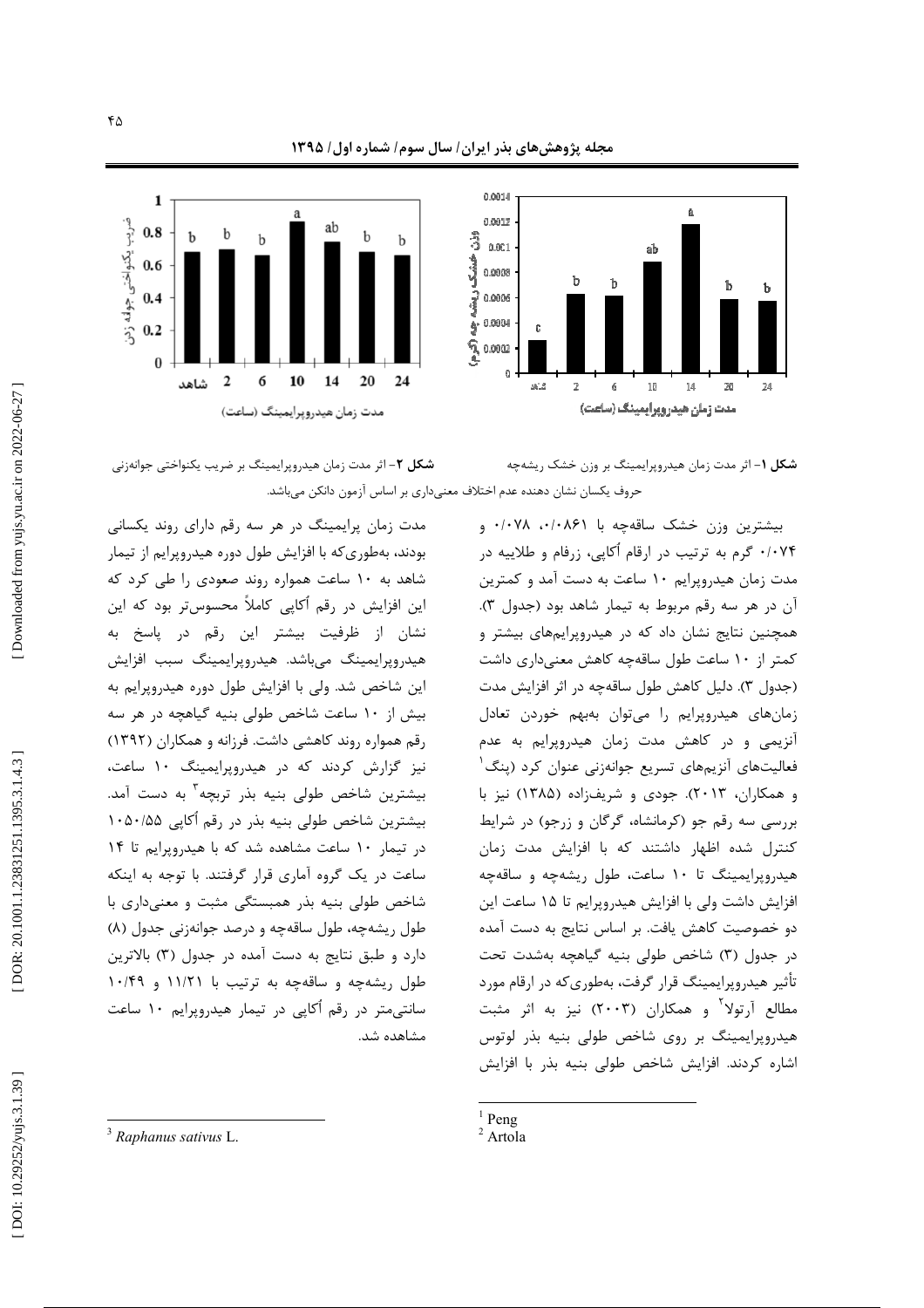مجله پژوهشهای بذر ایران/ سال سوم/ شماره اول/ ۱۳۹۵







**شکل ۲**– اثر مدت زمان هیدروپرایمینگ بر ضریب یکنواختی جوانهزنی . حروف یکسان نشان دهنده عدم اختلاف معنیداری بر اساس آزمون دانکن میباشد ė

مدت زمان پرایمینگ در هر سه رقم دارای روند یکسانی بودند، بهطوری که با افزایش طول دوره هیدروپرایم از تیمار شاهد به ۱۰ ساعت همواره روند صعودی را طی کرد که این افزایش در رقم آکاپی کاملاً محسوستر بود که این نشان از ظرفیت بیشتر این رقم در پاسخ به هیدروپرایمینگ میباشد. هیدروپرایمینگ سبب افزایش این شاخص شد. ولی با افزایش طول دوره هیدروپرایم به بیش از ۱۰ ساعت شاخص طولی بنیه گیاهچه در هر سه رقم همواره روند کاهشی داشت. فرزانه و همکاران (۱۳۹۲) نیز گزارش کردند که در هیدروپرایمینگ ۱۰ ساعت، بیشترین شاخص طولی بنیه بذر تربچه<sup>۳</sup> به دست آمد. بیشترین شاخص طولی بنیه بذر در رقم آکاپی ۱۰۵۰/۵۵ در تیمار ۱۰ ساعت مشاهده شد که با هیدروپرایم تا ۱۴ ساعت در یک گروه آماری قرار گرفتند. با توجه به اینکه شاخص طولی بنیه بذر همبستگی مثبت و معنیداری با طول ریشهچه، طول ساقهچه و درصد جوانهزنی جدول (۸) دارد و طبق نتایج به دست آمده در جدول (۳) بالاترین طول ریشهچه و ساقهچه به ترتیب با ۱۱/۲۱ و ۱۰/۴۹ سانتیمتر در رقم آکاپی در تیمار هیدروپرایم ۱۰ ساعت مشاهده شد.

بیشترین وزن خشک ساقهچه با ۰/۰۸۶۱ ۰/۰۸۶۰ و ۰/۰۷۴ گرم به ترتیب در ارقام آکاپی، زرفام و طلاییه در مدت زمان هیدروپرایم ۱۰ ساعت به دست آمد و کمترین آن در هر سه رقم مربوط به تیمار شاهد بود (جدول ۳). همچنین نتایج نشان داد که در هیدروپرایمهای بیشتر و کمتر از ۱۰ ساعت طول ساقهچه کاهش معنیداری داشت (جدول ۳). دلیل کاهش طول ساقهچه در اثر افزایش مدت زمانهای هیدروپرایم را میتوان بهبهم خوردن تعادل آنزیمی و در کاهش مدت زمان هیدروپرایم به عدم فعالیتهای آنزیمهای تسریع جوانهزنی عنوان کرد (پنگ<sup>۱</sup> و همکاران، ۲۰۱۳). جودی و شریفزاده (۱۳۸۵) نیز با بررسی سه رقم جو (کرمانشاه، گرگان و زرجو) در شرایط کنترل شده اظهار داشتند که با افزایش مدت زمان هیدروپرایمینگ تا ۱۰ ساعت، طول ریشهچه و ساقهچه افزایش داشت ولی با افزایش هیدروپرایم تا ۱۵ ساعت این دو خصوصیت کاهش یافت. بر اساس نتایج به دست آمده در جدول (۳) شاخص طولی بنیه گیاهچه بهشدت تحت تأثیر هیدروپرایمینگ قرار گرفت، بهطوریکه در ارقام مورد مطالع آرتولا<sup>۲</sup> و همکاران (۲۰۰۳) نیز به اثر مثبت هیدروپرایمینگ بر روی شاخص طولی بنیه بذر لوتوس اشاره کردند. افزایش شاخص طولی بنیه بذر با افزایش

<sup>3</sup> *Raphanus sativus* L.

 $\frac{1}{2}$  Peng<br><sup>2</sup> Artola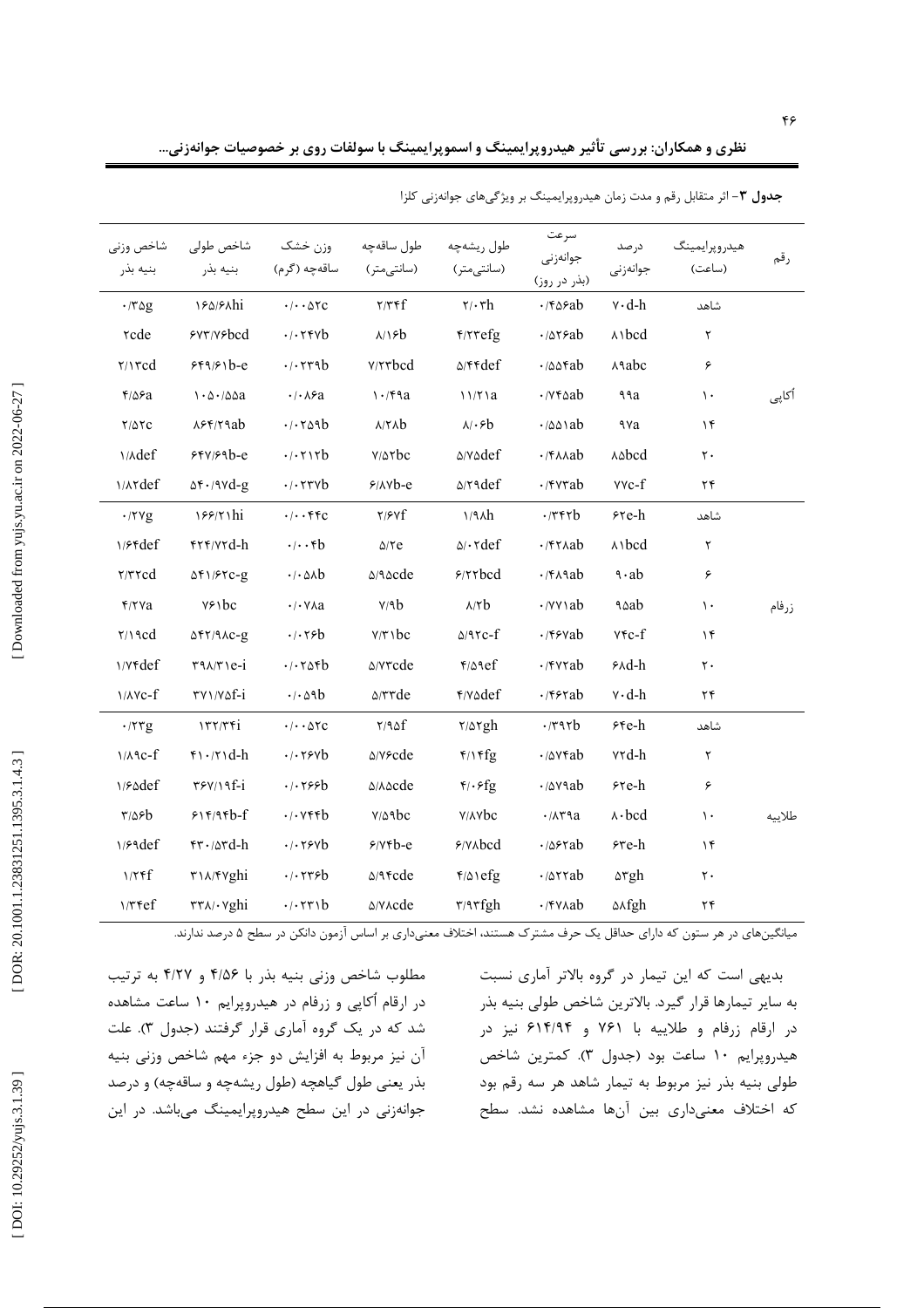|                           |                                                                   |                                                            |                                      |                               |                                              |                     | جدول ۳- اثر متقابل رقم و مدت زمان هیدروپرایمینگ بر ویژگیهای جوانهزنی کلزا |        |
|---------------------------|-------------------------------------------------------------------|------------------------------------------------------------|--------------------------------------|-------------------------------|----------------------------------------------|---------------------|---------------------------------------------------------------------------|--------|
| شاخص وزني<br>بنيه بذر     | شاخص طولى<br>بنيه بذر                                             | وزن خشک<br>ساقەچە (گرم)                                    | طول ساقەچە<br>(سانتى متر)            | طول ریشهچه<br>(سانتى متر)     | سرعت<br>جوانەزنى<br>(بذر در روز)             | در صد<br>جوانەزنى   | هيدروپرايمينگ<br>(ساعت)                                                   | رقم    |
| $\cdot$ /٣۵g              | 184/81hi                                                          | $\cdot/\cdot\cdot\Delta$ ۲C                                | $\tau/\tau$ ۴f                       | $\mathbf{y} \cdot \mathbf{r}$ | $\cdot$ /۴۵۶ab                               | $v \cdot d-h$       | شاهد                                                                      |        |
| <b>rcde</b>               | ۶۷۳/Y۶bcd                                                         | $.1.7$ ۴۷b                                                 | $\lambda/\lambda$ sb                 | $f$ / $r$ $refg$              | $\cdot$ / $\Delta$ reab                      | A <sub>1</sub> bcd  | ٢                                                                         |        |
| $\gamma\rightarrow\gamma$ | $559/51b-e$                                                       | .1.579b                                                    | <b>Y/۲۳bcd</b>                       | $\Delta$ /۴۴ $\text{def}$     | $\cdot$ /00fab                               | <b>A</b> abc        | ۶                                                                         |        |
| $f/\Delta$ ۶a             | $1 - \Delta - \Delta \Delta a$                                    | $\cdot$ / $\cdot$ $\wedge$ $\circ$ a                       | 1.79a                                | 11/71a                        | $\cdot$ / $v$ $\ast$ $ab$                    | ٩٩a                 | $\mathcal{L}$                                                             | أكاپى  |
| $Y/\Delta YC$             | $\lambda$ ۶۴/۲۹ab                                                 | .1.509b                                                    | $\lambda/\tau\lambda b$              | $\lambda/\cdot$ ۶ $b$         | $\cdot$ / $\triangle \triangle \setminus ab$ | ٩٧a                 | ۱۴                                                                        |        |
| <b>Mdef</b>               | 554/59                                                            | .7.717b                                                    | $Y/\Delta \tau$ bc                   | <b>A/VAdef</b>                | $\cdot$ / $\uparrow$ $\wedge$ $\wedge$ ab    | <b>A</b> bcd        | $\mathsf{r}\cdot$                                                         |        |
| <b>MATdef</b>             | $\Delta f \cdot \Delta V d - g$                                   | $\cdot$ / $\cdot$ rrvb                                     | $9/100-e$                            | $\Delta$ /۲۹def               | $\cdot$ / $\mathsf{rvrab}$                   | $VVC-f$             | ۲۴                                                                        |        |
| $\cdot$ /۲۷g              | 188/71hi                                                          | $\cdot/\cdot\cdot$ ۴۴c                                     | Y/Yf                                 | 1/9h                          | $\cdot$ /٣۴٢b                                | ۶۲e-h               | شاهد                                                                      |        |
| $1/8$ rdef                | FTF/VTd-h                                                         | $\cdot/\cdot \cdot \uparrow b$                             | $\Delta$ /۲e                         | $\Delta/\cdot \text{rdef}$    | $\cdot$ /۴۲۸ab                               | $\wedge$ bcd        | ٢                                                                         |        |
| $\tau/\tau \tau c d$      | $\Delta f$ 1/ $f$ rc-g                                            | $\cdot$ / $\cdot$ $\circ$ $\circ$ $\circ$                  | $\triangle$ /۹ $\triangle$ cde       | 9/77bcd                       | $\cdot$ /۴۸۹ab                               | $9 \cdot ab$        | ۶                                                                         |        |
| $Y/Y$ a                   | $Y \rightarrow b c$                                               | $\cdot$ / $\cdot$ $\vee$ $\wedge$ a                        | V/9b                                 | $A/\Upsilon b$                | $\cdot$ / $\vee$ $\vee$ $ab$                 | ۹۵ab                | $\mathcal{L}$                                                             | زرفام  |
| $\gamma \wedge \gamma$    | $\Delta f Y / 9AC - g$                                            | $\cdot$ / $\cdot$ $\uparrow$ $\circ$ $\uparrow$            | $Y/Y \setminus bc$                   | $\triangle/\text{PC-}f$       | $\cdot$ /۴۶۷ab                               | $YFC-f$             | ۱۴                                                                        |        |
| <b>\/Yfdef</b>            | $\mathbf{r} \cdot \mathbf{v}$                                     | .1.70fb                                                    | <b>A/Y۳cde</b>                       | $f/\Delta$ 9ef                | $\cdot$ /۴۷۲ab                               | $A\triangleleft$ -h | $\mathsf{r}$ .                                                            |        |
| $\frac{\gamma}{\lambda}$  | TV1/VQf-1                                                         | $\cdot$ / $\cdot$ $\triangle$ 9 $b$                        | $\triangle$ / $\forall$ $\forall$ de | ۴/v۵def                       | $\cdot$ /۴۶۲ab                               | $v \cdot d-h$       | ۲۴                                                                        |        |
| .777g                     | 177/76                                                            | $\cdot/\cdot\cdot \Delta \text{TC}$                        | Y/90f                                | $\frac{1}{2}$                 | $\cdot$ /۳۹۲b                                | $55e-h$             | شاهد                                                                      |        |
| $1/A$ $C-f$               | $f \cdot x \cdot d-h$                                             | $\cdot$ / $\cdot$ $\uparrow$ $\circ$ $\uparrow$ $\uparrow$ | <b>A/Y&amp;cde</b>                   | $f/\sqrt{fg}$                 | $\cdot$ / $\Delta$ $\vee$ $\forall$ ab       | ۷۲d-h               | $\mathsf{r}$                                                              |        |
| 1/Sadef                   | $\frac{r}{r}$                                                     | .1.199b                                                    | <b><i>۵/A</i></b> &cde               | $f/\cdot f$ g                 | $\cdot$ / $\Delta$ $\vee$ ab                 | $5$ re-h            | ۶                                                                         |        |
| $\frac{8}{2}$             | 515/95                                                            | $\cdot$ / $\cdot$ $\vee$ $\uparrow$ $\uparrow$             | $V/\Delta$ 9 $bc$                    | <b>Y/AYbc</b>                 | $\cdot$ / $\wedge$ $\vee$ $\vee$ $\vee$      | $\wedge \cdot$ bcd  | $\mathcal{L}$                                                             | طلاييه |
| $1/29$ def                | $rr \cdot \alpha rd-h$                                            | $\cdot$ $\cdot$ $\cdot$ $\cdot$ $\cdot$ $\cdot$ $\cdot$    | $9/Y$ rb-e                           | $Y/N$ Abcd                    | $\cdot$ / $\Delta$ ۶۲ab                      | ۶۳e-h               | ۱۴                                                                        |        |
| 1/7f                      | ٣١٨/۴٧ghi                                                         | $\cdot$ $\cdot$ rr $\epsilon$ b                            | $\triangle$ /96cde                   | $f/\Delta$ \efg               | $\cdot$ / $\Delta$ $\tau$ rab                | ۵۳gh                | $\mathsf{r}\cdot$                                                         |        |
| $1/T$ Fef                 | $\mathsf{r}\mathsf{r}\wedge\mathsf{r}\vee\mathsf{r}\mathsf{gh}$ i | .7.771b                                                    | <b>A/VAcde</b>                       | $\tau$ /9 $\tau$ fgh          | $\cdot$ /۴۷۸ab                               | <b>A</b> xfgh       | ۲۴                                                                        |        |

نظری و همکاران: بررسی تأثیر هیدروپرایمینگ و اسموپرایمینگ با سولفات روی بر خصوصیات جوانهزنی…

.<br>میانگینهای در هر ستون که دارای حداقل یک حرف مشترک هستند، اختلاف معنیداری بر اساس آزمون دانکن در سطح ۵ درصد ندارند.

مطلوب شاخص وزنی بنیه بذر با ۴/۵۶ و ۴/۲۷ به ترتیب در ارقام اُکاپی و زرفام در هیدروپرایم ۱۰ ساعت مشاهده شد که در یک گروه آماری قرار گرفتند (جدول ۳). علت آن نیز مربوط به افزایش دو جزء مهم شاخص وزنی بنیه بذر یعنی طول گیاهچه (طول ریشهچه و ساقهچه) و درصد جوانهزنی در این سطح هیدروپرایمینگ میباشد. در این

بدیهی است که این تیمار در گروه بالاتر آماری نسبت به سایر تیمارها قرار گیرد. بالاترین شاخص طولی بنیه بذر در ارقام زرفام و طلاییه با ۷۶۱ و ۶۱۴/۹۴ نیز در هیدروپرایم ۱۰ ساعت بود (جدول ۳). کمترین شاخص طولی بنیه بذر نیز مربوط به تیمار شاهد هر سه رقم بود که اختلاف معنیداری بین آنها مشاهده نشد. سطح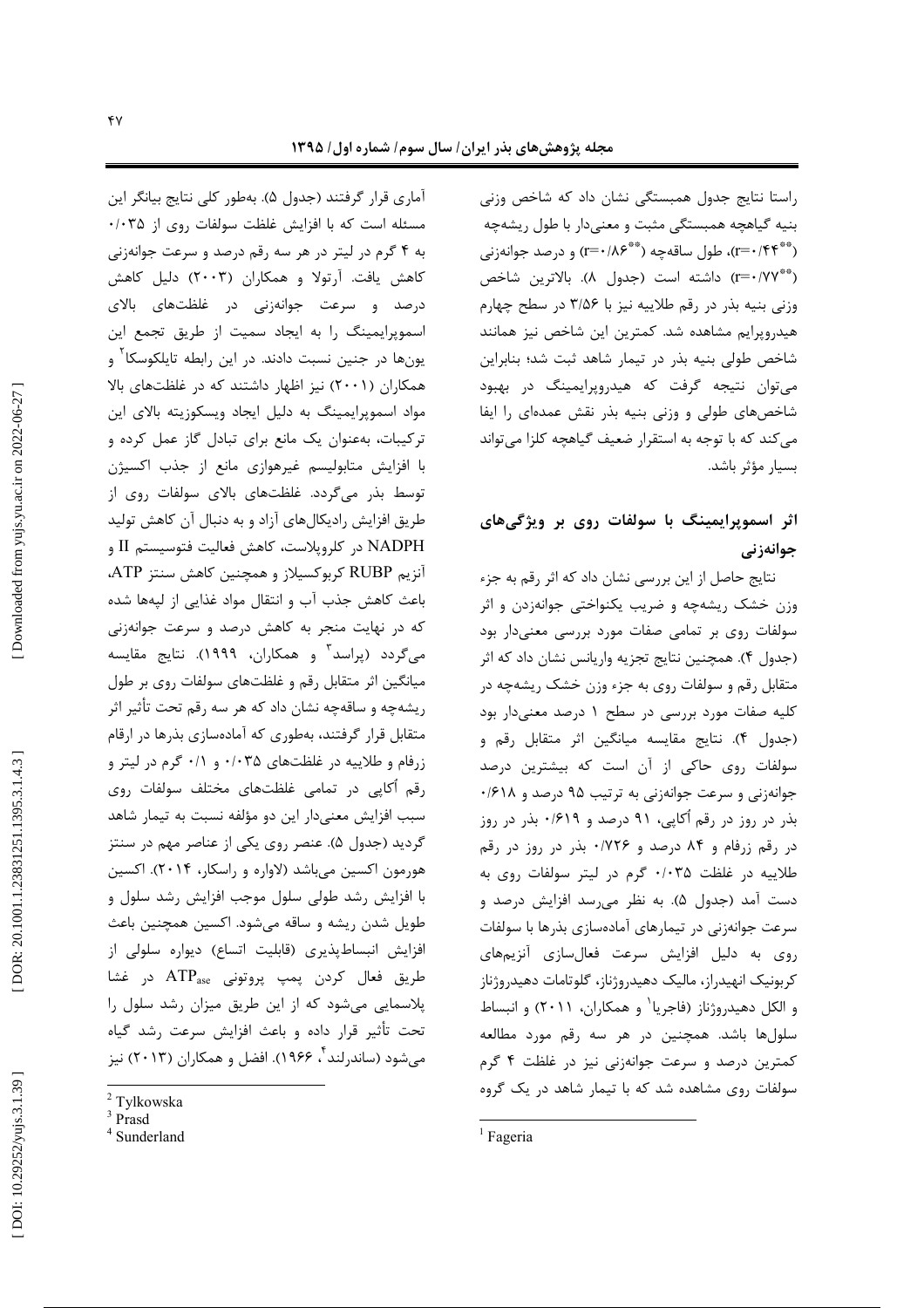راستا نتایج جدول همبستگی نشان داد که شاخص وزنی بنیه گیاهچه همبستگی مثبت و معنیدار با طول ریشهچه (\*\*\*r=۰/۴۴)، طول ساقهچه (\*\*\*۱۸۶) و درصد جوانهزنی (\*\*\*r=) داشته است (جدول ۸). بالاترين شاخص وزنی بنیه بذر در رقم طلاییه نیز با ۳/۵۶ در سطح چهارم هیدروپرایم مشاهده شد. کمترین این شاخص نیز همانند شاخص طولی بنیه بذر در تیمار شاهد ثبت شد؛ بنابراین مي توان نتيجه گرفت كه هيدرويرايمينگ در بهبود شاخصهای طولی و وزنی بنیه بذر نقش عمدهای را ایفا می کند که با توجه به استقرار ضعیف گیاهچه کلزا می تواند بسيار مؤثر باشد.

# اثر اسموپرایمینگ با سولفات روی بر ویژگیهای جوانەزنى

نتایج حاصل از این بررسی نشان داد که اثر رقم به جزء وزن خشک ریشهچه و ضریب یکنواختی جوانهزدن و اثر سولفات روی بر تمامی صفات مورد بررسی معنیدار بود (جدول ۴). همچنین نتایج تجزیه واریانس نشان داد که اثر متقابل رقم و سولفات روی به جزء وزن خشک ریشهچه در کلیه صفات مورد بررسی در سطح ۱ درصد معنیدار بود (جدول ۴). نتايج مقايسه ميانگين اثر متقابل رقم و سولفات روی حاکی از آن است که بیشترین درصد جوانهزنی و سرعت جوانهزنی به ترتیب ۹۵ درصد و ۰/۶۱۸ بذر در روز در رقم اُکاپی، ۹۱ درصد و ۰/۶۱۹ بذر در روز در رقم زرفام و ۸۴ درصد و ۱۷۲۶۰ بذر در روز در رقم طلاییه در غلظت ۰/۰۳۵ گرم در لیتر سولفات روی به دست آمد (جدول ۵). به نظر می رسد افزایش درصد و سرعت جوانهزنی در تیمارهای آمادهسازی بذرها با سولفات روی به دلیل افزایش سرعت فعالسازی آنزیمهای كربونيك انهيدراز، ماليك دهيدروژناز، گلوتامات دهيدروژناز و الكل دهيدروژناز (فاجريا<sup>\</sup> و همكاران، ۲۰۱۱) و انبساط سلولها باشد. همچنین در هر سه رقم مورد مطالعه کمترین درصد و سرعت جوانهزنی نیز در غلظت ۴ گرم سولفات روی مشاهده شد که با تیمار شاهد در یک گروه

أماري قرار گرفتند (جدول ۵). بەطور كلي نتايج بيانگر اين مسئله است که با افزایش غلظت سولفات روی از ۰/۰۳۵ به ۴ گرم در لیتر در هر سه رقم درصد و سرعت جوانهزنی کاهش یافت. آرتولا و همکاران (۲۰۰۳) دلیل کاهش درصد و سرعت جوانهزنی در غلظتهای بالای اسموپرایمینگ را به ایجاد سمیت از طریق تجمع این یونها در جنین نسبت دادند. در این رابطه تایلکوسکا ٰ و همکاران (۲۰۰۱) نیز اظهار داشتند که در غلظتهای بالا مواد اسموپرایمینگ به دلیل ایجاد ویسکوزیته بالای این ترکیبات، بهعنوان یک مانع برای تبادل گاز عمل کرده و با افزایش متابولیسم غیرهوازی مانع از جذب اکسیژن توسط بذر میگردد. غلظتهای بالای سولفات روی از طریق افزایش رادیکالهای آزاد و به دنبال آن کاهش تولید NADPH در کلروپلاست، کاهش فعالیت فتوسیستم II و آنزیم RUBP کربوکسیلاز و همچنین کاهش سنتز ATP، باعث كاهش جذب آب و انتقال مواد غذايي از ليهها شده که در نهایت منجر به کاهش درصد و سرعت جوانهزنی میگردد (پراسد<sup>۳</sup> و همکاران، ۱۹۹۹). نتایج مقایسه میانگین اثر متقابل رقم و غلظتهای سولفات روی بر طول ریشهچه و ساقهچه نشان داد که هر سه رقم تحت تأثیر اثر متقابل قرار گرفتند، بهطوری که آمادهسازی بذرها در ارقام زرفام و طلاییه در غلظتهای ۰/۰۳۵ و ۰/۱ گرم در لیتر و رقم أكاپي در تمامي غلظتهاي مختلف سولفات روى سبب افزایش معنیدار این دو مؤلفه نسبت به تیمار شاهد گردید (جدول ۵). عنصر روی یکی از عناصر مهم در سنتز هورمون اکسین میباشد (لاواره و راسکار، ۲۰۱۴). اکسین با افزایش رشد طولی سلول موجب افزایش رشد سلول و طویل شدن ریشه و ساقه میشود. اکسین همچنین باعث افزايش انبساطپذيري (قابليت اتساع) ديواره سلولي از طريق فعال كردن پمپ پروتونى ATPase در غشا پلاسمایی میشود که از این طریق میزان رشد سلول را تحت تأثیر قرار داده و باعث افزایش سرعت رشد گیاه میشود (ساندرلند <sup>۲</sup>، ۱۹۶۶). افضل و همکاران (۲۰۱۳) نیز

 $1$  Fageria

<sup>&</sup>lt;sup>2</sup> Tylkowska

 $^3$  Prasd

<sup>&</sup>lt;sup>4</sup> Sunderland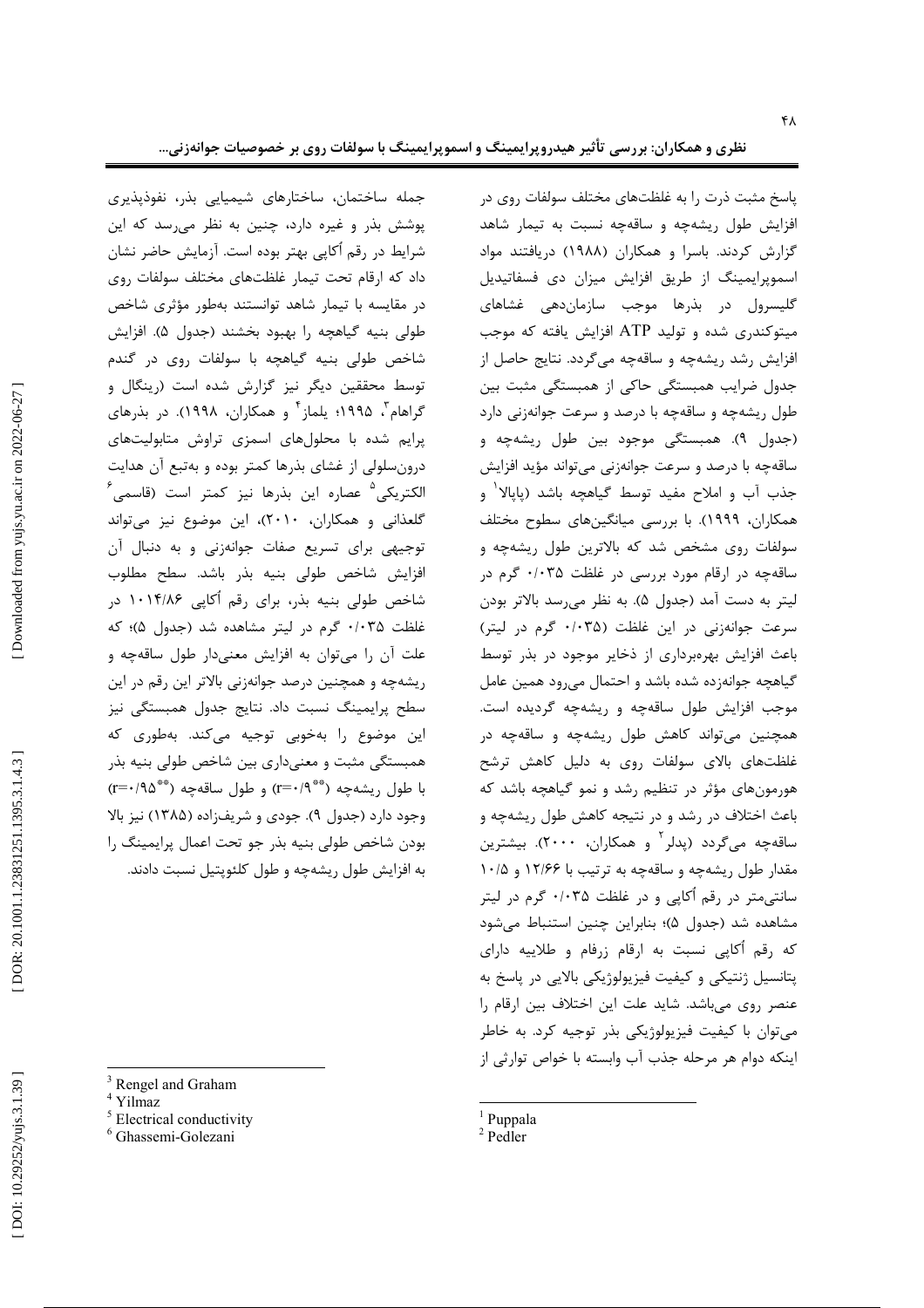پاسخ مثبت ذرت را به غلظتهای مختلف سولفات روی در افزایش طول ریشهچه و ساقهچه نسبت به تیمار شاهد گزارش کردند. باسرا و همکاران (۱۹۸۸) دریافتند مواد ė اسموپرایمینگ از طریق افزایش میزان دی فسفاتیدیل گلیسرول در بذرها موجب سازماندهی غشاهای میتوکندری شده و تولید ATP افزایش یافته که موجب افزایش رشد ریشهچه و ساقهچه میگردد. نتایج حاصل از جدول ضرایب همبستگی حاکی از همبستگی مثبت بین طول ریشهچه و ساقهچه با درصد و سرعت جوانهزنی دارد (جدول ۹). همبستگی موجود بین طول ریشهچه و ساقهچه با درصد و سرعت جوانهزنی میتواند مؤید افزایش جذب آب و املاح مفید توسط گیاهچه باشد (پاپالا<sup>۱</sup> و<br>همکاران، ۱۹۹۹). با بررسی میانگینهای سطوح مختلف همکاران، ۱۹۹۹). با بررسی میانگینه سولفات روی مشخص شد که بالاترین طول ریشهچه و ساقهچه در ارقام مورد بررسی در غلظت ۰/۰۳۵ گرم در ليتر به دست آمد (جدول ۵). به نظر م<sub>عا</sub>رسد بالاتر بودن سرعت جوانهزنی در این غلظت (۰/۰۳۵ گرم در لیتر) اعث افزایش بهرهبرداری از ذخایر موجود در بذر توسط ė گیاهچه جوانهزده شده باشد و احتمال میرود همین عامل . موجب افزایش طول ساقهچه و ریشهچه گردیده است همچنین میتواند کاهش طول ریشهچه و ساقهچه در غلظتهای بالای سولفات روی به دلیل کاهش ترشح į هورمونهای مؤثر در تنظیم رشد و نمو گیاهچه باشد که اعث اختلاف در رشد و در نتیجه کاهش طول ریشهچه و ė ساقهچه میگردد (پدلر<sup>۲</sup> و همکاران، ۲۰۰۰). بیشترین مقدار طول ریشهچه و ساقهچه به ترتیب با ۱۲/۶۶ و ۱۰/۵ سانتیمتر در رقم آکاپی و در غلظت ۰/۰۳۵ گرم در لیتر مشاهده شد (جدول ۵)؛ بنابراین چنین استنباط میشود که رقم آکاپی نسبت به ارقام زرفام و طلاییه دارای پتانسیل ژنتیکی و کیفیت فیزیولوژیکی بالایی در پاسخ به  $\overline{\phantom{a}}$ عنصر روی میباشد. شاید علت این اختلاف بین ارقام را . į میتوان با کیفیت فیزیولوژیکی بذر توجیه کرد. به خاطر . ينكه دوام هر مرحله جذب آب وابسته با خواص توارثى از ļ

- $\frac{1}{2}$  Puppala
- 

جمله ساختمان، ساختارهای شیمیایی بذر، نفوذپذیری پوشش بذر و غیره دارد، چنین به نظر می رسد که این شرایط در رقم آکاپی بهتر بوده است. آزمایش حاضر نشان داد که ارقام تحت تیمار غلظتهای مختلف سولفات روی در مقایسه با تیمار شاهد توانستند بهطور مؤثری شاخص طولی بنیه گیاهچه را بهبود بخشند (جدول ۵). افزایش شاخص طولی بنیه گیاهچه با سولفات روی در گندم توسط محققین دیگر نیز گزارش شده است (رینگال و گراهام<sup>۳</sup>، ۱۹۹۵؛ یلماز<sup>۴</sup> و همکاران، ۱۹۹۸). در بذرهای پرایم شده با محلولهای اسمزی تراوش متابولیتهای درونسلولی از غشای بذرها کمتر بوده و بهتبع آن هدایت الکتریکی<sup>۵</sup> عصاره این بذرها نیز کمتر است (قاسمی<sup>۶</sup> گلعذانی و همکاران، ۲۰۱۰)، این موضوع نیز میتواند توجیهی برای تسریع صفات جوانهزنی و به دنبال آن افزایش شاخص طولی بنیه بذر باشد. سطح مطلوب شاخص طولی بنیه بذر، برای رقم آکاپی ۱۰۱۴/۸۶ در غلظت ۰/۰۳۵ گرم در لیتر مشاهده شد (جدول ۵)؛ که علت آن را میتوان به افزایش معنیدار طول ساقهچه و ریشهچه و همچنین درصد جوانهزنی بالاتر این رقم در این į سطح پرایمینگ نسبت داد. نتایج جدول همبستگی نیز این موضوع را بهخوبی توجیه میکند. بهطوری که . همبستگی مثبت و معنیداری بین شاخص طولی بنیه بذر با طول ریشهچه (\*\*\*۲+۳) و طول ساقهچه (\*\*\*۲=۲) وجود دارد (جدول ۹). جودی و شریفزاده (۱۳۸۵) نیز بالا . بودن شاخص طولی بنیه بذر جو تحت اعمال پرایمینگ را به افزایش طول ریشهچه و طول کلئوپتیل نسبت دادند.

- <sup>3</sup> Rengel and Graham<br>  $\frac{4}{\text{Yilmaz}}$ <br>  $\frac{5}{\text{Electrical conductivity}}$ <br>  $\frac{6}{\text{Ghassemi-Golezani}}$
-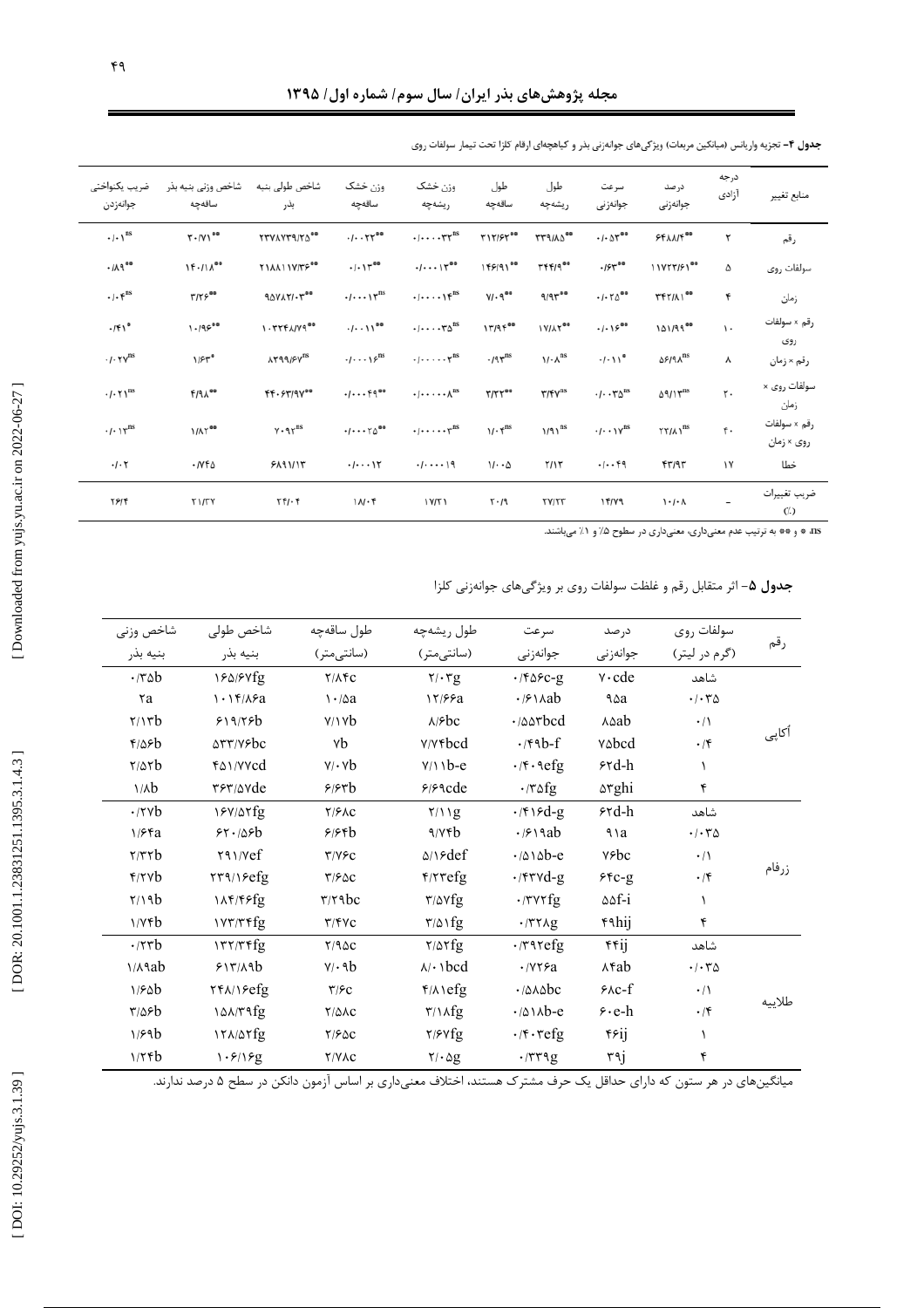| ضريب يكنواختى<br>جوانەزدن                             | شاخص وزنى بنيه بذر<br>ساقەجە | شاخص طولى بنيه<br>بذر                      | وزن خشک<br>ساقەچە                                            | وزن خشک<br>ريشەچە                                                   | طول<br>ساقەچە                      | طول<br>ريشەچە                           | سرعت<br>جوانەزنى                                             | درصد<br>جوانەزنى                  | درجه<br>آزادى | منابع تغيير                |
|-------------------------------------------------------|------------------------------|--------------------------------------------|--------------------------------------------------------------|---------------------------------------------------------------------|------------------------------------|-----------------------------------------|--------------------------------------------------------------|-----------------------------------|---------------|----------------------------|
| $\cdot/\cdot\setminus^{\text{ns}}$                    | $T \cdot /V1^{aa}$           | <b>TTVAYT9/YA</b> **                       | $-1.71$                                                      | $\cdot/\cdots\cdot\tau\tau^{\text{ns}}$                             | T17/57                             | <b>TT9/A000</b>                         | $\cdot$ / $\cdot$ $\wedge^{\bullet}$ <sup>*</sup>            | $55\lambda\lambda/f^{00}$         | ۲             | رقم                        |
| .119                                                  | $1f \cdot /1 \Lambda^{oo}$   | <b>YIAAIIY/TF</b> **                       | .1.11                                                        | .1.1                                                                | 149/91 <sup>00</sup>               | $Yf f / q^{\alpha \alpha}$              | $.154^{\circ\circ}$                                          | 11YTT/۶1 <sup>00</sup>            | ۵             | سولفات روى                 |
| $\cdot$ / $\cdot$ $\mathfrak{f}^{\text{ns}}$          | $Y/Y \in \mathbb{R}^{60}$    | $90YAYYY^{\circ\circ}$                     | $\cdot/\cdots\setminus\tau^{\text{ns}}$                      | $\cdot/\cdots\setminus\mathfrak{f}^{\text{ns}}$                     | $Y/\cdot$ q <sup>oo</sup>          | $9/97^{\circ\circ}$                     | .1.70                                                        | <b>TFY/AI</b> <sup>00</sup>       | ۴             | زمان                       |
| $-$ /۴۱ $^{\circ}$                                    | $1.195^{\circ}$              | $1.777A/Y9^{\circ\circ}$                   | $-1$ $\cdots$ 11 <sup>00</sup>                               | $\cdot \cdots \cdot \tau \Delta^{ns}$                               | 1779500                            | <b><i>IVIAT</i></b> **                  | .1.19                                                        | $101/99^{\circ\circ}$             | ١.            | رقم × سولفات<br>روى        |
| $\cdot$ / $\cdot$ $\Upsilon$ $\Upsilon$ <sup>ns</sup> | $1/5r^{\circ}$               | $\lambda$ ۳۹۹/۶۷ $^{\text{ns}}$            | $\cdot/\cdots\setminus\varphi^{\text{ns}}$                   | $\cdot \mid \cdot \cdot \cdot \cdot \cdot \cdot \mid$ <sup>ns</sup> | $.195$ <sup>ns</sup>               | $1/\cdot \lambda^{ns}$                  | $-1.11$ °                                                    | <b><i>ASIAN</i></b> <sup>ns</sup> | ٨             | رقم × زمان                 |
| $-1.5$                                                | <b>F/91.00</b>               | 44.87/9700                                 | $-1.000$                                                     | $\cdot$ / $\cdot$ $\cdot$ $\cdot$ $\wedge$ <sup>ns</sup>            | $T/TT^{oo}$                        | $\Upsilon/\Upsilon\Upsilon^{\text{ns}}$ | $\cdot$ / $\cdot$ $\cdot$ $\uparrow \triangle$ <sup>ns</sup> | $09/15$ <sup>ms</sup>             | ٢.            | سولفات روی ×<br>زمان       |
| $\cdot$ / $\cdot$ $\gamma$ <sup>ns</sup>              | <b><i>MAT</i></b>            | $Y \cdot 97^{ns}$                          | $\cdot$ / $\cdot$ $\cdot$ $\uparrow \triangle$ <sup>00</sup> | $\cdot \cdot \cdot \cdot \cdot \tau$ <sup>ns</sup>                  | $1/\cdot \mathfrak{f}^{\text{ns}}$ | $1/91^{ns}$                             | $\cdot/\cdot\cdot\setminus\gamma^{\text{ns}}$                | $\Upsilon \Upsilon / \Lambda$     | ۴.            | رقم × سولفات<br>روی × زمان |
| $\cdot$ / $\cdot$ ۲                                   | ۲۷۴۵.                        | ۶۸۹۱/۱۳                                    | $-1$                                                         | $-1 - -19$                                                          | $11 - \Delta$                      | Y/1T                                    | $-1 - 4$                                                     | 47/95                             | ١٧            | خطا                        |
| 4614                                                  | <b>T1/TV</b>                 | $\mathbf{Y} \mathbf{F} / \cdot \mathbf{F}$ | 11.1                                                         | 1Y/T1                                                               | $Y - 19$                           | <b>TY/TT</b>                            | 14/19                                                        | $1 - 1 - 1$                       |               | ضريب تغييرات<br>$($ .)     |

جدول ۴- تجزیه واریانس (میانگین مربعات) ویژگیهای جوانهزنی بذر و گیاهچهای ارقام کلزا تحت تیمار سولفات روی

ns، ۵ و ۴۰ به ترتیب عدم معنیداری، معنیداری در سطوح ۰/۵ و ۱/ میباشند.

|  |  | <b>جدول ۵</b> – اثر متقابل رقم و غلظت سولفات روی بر ویژگیهای جوانهزنی کلزا |
|--|--|----------------------------------------------------------------------------|
|--|--|----------------------------------------------------------------------------|

| شاخص وزني          | شاخص طولى                     | طول ساقەچە                        | طول ريشهچه                              | سرعت                                                                                                                                                                                                                                                                  | درصد                  | سولفات روى                              |        |
|--------------------|-------------------------------|-----------------------------------|-----------------------------------------|-----------------------------------------------------------------------------------------------------------------------------------------------------------------------------------------------------------------------------------------------------------------------|-----------------------|-----------------------------------------|--------|
| بنيه بذر           | بنيه بذر                      | (سانتى متر)                       | (سانتى متر)                             | جوانەزنى                                                                                                                                                                                                                                                              | جوانەزنى              | (گرم در ليتر)                           | رقم    |
| $\cdot$ /۳۵ $b$    | 184/87fg                      | $Y/\Lambda$ FC                    | $Y/\cdot Yg$                            | $\cdot$ /۴۵۶c-g                                                                                                                                                                                                                                                       | $v \cdot cde$         | شاهد                                    |        |
| ra                 | 1.15/15a                      | $\mathcal{N} \cdot \mathcal{N}$ a | 17/99a                                  | $\cdot$ / $\circ$ \ $\wedge$ ab                                                                                                                                                                                                                                       | ۹۵а                   | $\cdot$ / $\cdot$ $\uparrow$ $\uparrow$ |        |
| $\gamma$           | 519/75b                       | Y/Yb                              | $\lambda$ / $\epsilon$ bc               | $\cdot$ / $\triangle$ $\triangle$ r $bcd$                                                                                                                                                                                                                             | <b>Asab</b>           | $\cdot/\wedge$                          |        |
| $f/\Delta f b$     | <b>ATT/V&amp;bc</b>           | ٧b                                | <b>Y/Yfbcd</b>                          | $\cdot$ /۴۹b-f                                                                                                                                                                                                                                                        | vabcd                 | $\cdot$ /۴                              | أكاپى  |
| $\frac{8}{100}$    | ray/vvcd                      | $v / \cdot v$                     | $Y/11b-e$                               | $\cdot$ /۴ $\cdot$ ۹efg                                                                                                                                                                                                                                               | $5rd-h$               | $\lambda$                               |        |
| $1/\lambda b$      | rer/avde                      | 5/57b                             | $9/9$ acde                              | $\cdot$ /٣۵fg                                                                                                                                                                                                                                                         | <b>arghi</b>          | ۴                                       |        |
| $\cdot$ /۲۷b       | 18V/ATfg                      | Y/FAC                             | Y/11g                                   | $\cdot$ /۴۱۶d-g                                                                                                                                                                                                                                                       | $5rd-h$               | شاهد                                    |        |
| 1/Ffa              | 55.185                        | 9/86                              | 4/16                                    | $\cdot$ / $\circ$ \ 9ab                                                                                                                                                                                                                                               | ٩١a                   | $\cdot$ / $\cdot$ $\uparrow$ $\uparrow$ |        |
| $\tau/\tau \tau b$ | Y31/Vef                       | $Y/Y$ ۶ $C$                       | $\triangle$ / $\blacktriangleright$ def | $\cdot$ /010b-e                                                                                                                                                                                                                                                       | <b>v</b> sbc          | $\cdot/\wedge$                          |        |
| f                  | $\frac{8}{77}$                | T/FAC                             | $\frac{f}{\tau}$                        | $\cdot$ /۴۳۷d-g                                                                                                                                                                                                                                                       | $55c-9$               | $\cdot$ /۴                              | زرفام  |
| $\frac{7}{10}$     | 11F/FFfg                      | $\mathbf{r}/\mathbf{r}$ abc       | $\frac{r}{\Delta}$                      | $\cdot$ /٣٧٢fg                                                                                                                                                                                                                                                        | $\Delta \Delta f - i$ | $\lambda$                               |        |
| 1/YFb              | 1YY/Tffg                      | $\Upsilon/\Upsilon$ YC            | $\frac{r}{\Delta}$                      | $\cdot$ /٣٢٨g                                                                                                                                                                                                                                                         | ۴۹hij                 | ۴                                       |        |
| $\cdot$ /۲۳ $b$    | $177/79$ fg                   | Y/9AC                             | $Y/\Delta Yfg$                          | $\cdot$ $\upmu$                                                                                                                                                                                                                                                       | rrij                  | شاهد                                    |        |
| $1/A$ ab           | 517/A9b                       | $V/\cdot 9b$                      | $\lambda/\cdot$ \bcd                    | $\cdot$ / $\vee$ $\vee$ $\vee$ $\vee$ $\vee$ $\vee$ $\vee$ $\vee$ $\vee$ $\vee$ $\vee$ $\vee$ $\vee$ $\vee$ $\vee$ $\vee$ $\vee$ $\vee$ $\vee$ $\vee$ $\vee$ $\vee$ $\vee$ $\vee$ $\vee$ $\vee$ $\vee$ $\vee$ $\vee$ $\vee$ $\vee$ $\vee$ $\vee$ $\vee$ $\vee$ $\vee$ | <b>Afab</b>           | $\cdot$ / $\cdot$ $\uparrow$ $\uparrow$ |        |
| 1/6ab              | $Yf\Lambda/Ye$ fg             | $\tau$ / $\epsilon$               | $f/\lambda$ \efg                        | $\cdot$ / $\triangle \wedge \triangle$ bc                                                                                                                                                                                                                             | $20 - f$              | $\cdot/\wedge$                          |        |
| $\frac{8}{2}$      | 10 <sub>N</sub> /T1fg         | $Y/\Delta AC$                     | $\frac{r}{\log n}$                      | $\cdot$ / $\triangle \land \land b$ -e                                                                                                                                                                                                                                | $\epsilon$ · e-h      | $\cdot$ /۴                              | طلاييه |
| 1/59b              | $17\lambda/\Delta\Upsilon$ fg | Y/FAC                             | $\frac{7}{5}$                           | $\cdot$ / $\mathfrak{r}$ $\cdot$ $\mathfrak{r}$ efg                                                                                                                                                                                                                   | <b>Frij</b>           | $\lambda$                               |        |
| 1/56               | 1.5/19g                       | <b>Y/VAC</b>                      | 7/29                                    | $\cdot$ /٣٣٩g                                                                                                                                                                                                                                                         | ٣٩j                   | ۴                                       |        |

میانگینهای در هر ستون که دارای حداقل یک حرف مشترک هستند، اختلاف معنیداری بر اساس آزمون دانکن در سطح ۵ درصد ندارند.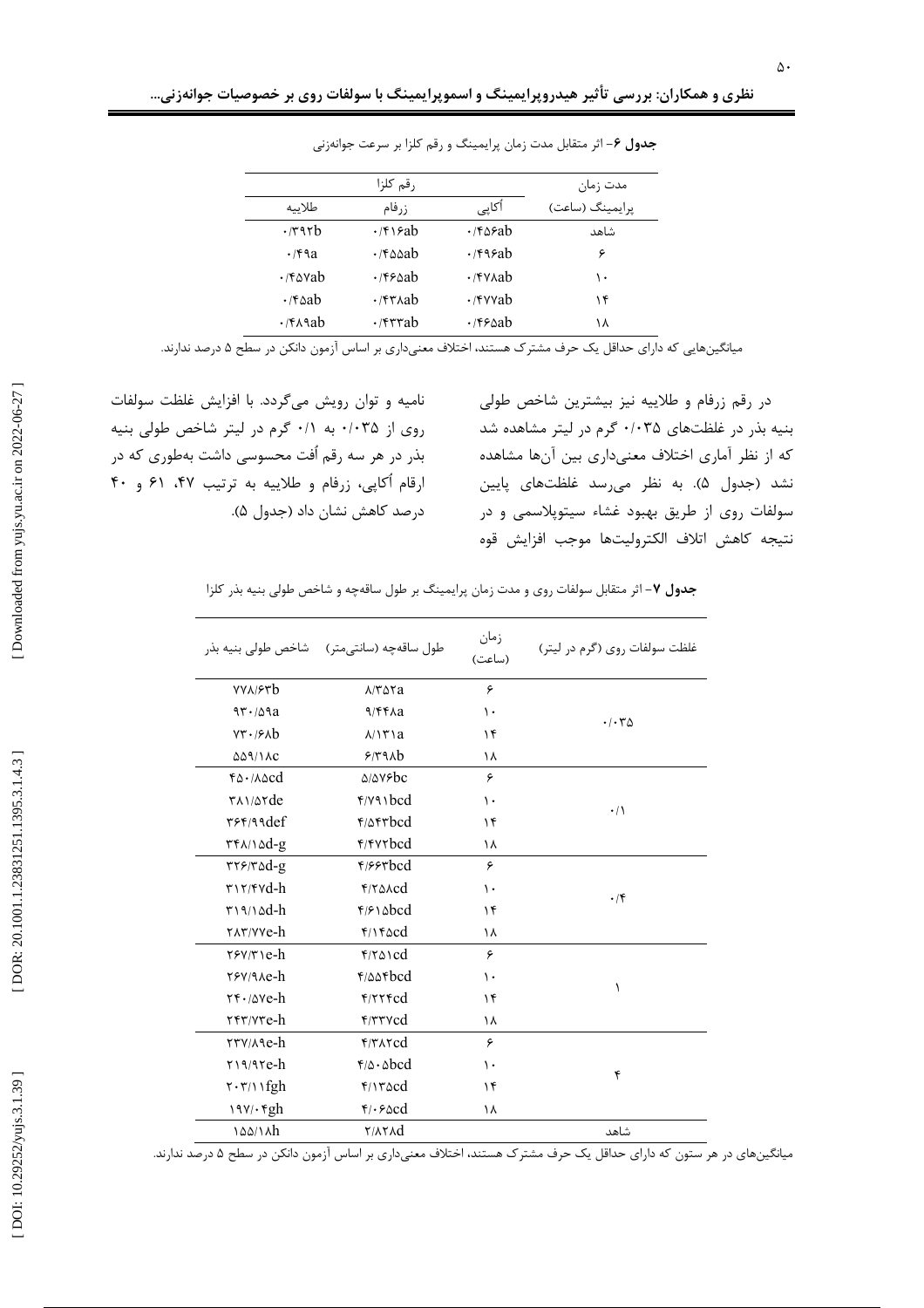|                        | رقم كلزا                             |                | مدت زمان        |
|------------------------|--------------------------------------|----------------|-----------------|
| طلاسه                  | ز, فام                               | أكاپى          | پرايمينگ (ساعت) |
| $\cdot$ /٣٩٢b          | $\cdot$ /۴۱۶ab                       | $\cdot$ /۴۵۶ab | شاهد            |
| $\cdot$ /۴۹a           | $\cdot$ /۴۵۵ab                       | $\cdot$ /۴۹۶ab | ۶               |
| $\cdot$ /۴۵۷ab         | $\cdot$ /۴۶۵ab                       | $\cdot$ /۴۷۸ab | ۱۰              |
| $\cdot$ /۴۵ab          | $\cdot$ /۴۳ $\lambda$ ab             | $\cdot$ /۴۷۷ab | ۱۴              |
| $\cdot$ /۴ $\land$ ۹ab | $\cdot$ / $\uparrow$ r $\uparrow$ ab | $\cdot$ /۴۶۵ab | ۱۸              |

جدول ۶- اثر متقابل مدت زمان پرایمینگ و رقم کلزا بر سرعت جوانهزنی

میانگینهایی که دارای حداقل یک حرف مشترک هستند، اختلاف معنیداری بر اساس آزمون دانکن در سطح ۵ درصد ندارند.

نامیه و توان رویش میگردد. با افزایش غلظت سولفات روی از ۰/۰۳۵ به ۰/۱ گرم در لیتر شاخص طولی بنیه بذر در هر سه رقم اُفت محسوسی داشت بهطوری که در ارقام اُکاپی، زرفام و طلاییه به ترتیب ۴۷، ۶۱ و ۴۰ درصد كاهش نشان داد (جدول ۵).

در رقم زرفام و طلاییه نیز بیشترین شاخص طولی بنیه بذر در غلظتهای ۰/۰۳۵ گرم در لیتر مشاهده شد که از نظر آماری اختلاف معنیداری بین آنها مشاهده نشد (جدول ۵). به نظر می رسد غلظتهای پایین سولفات روی از طریق بهبود غشاء سیتوپلاسمی و در نتيجه كاهش اتلاف الكتروليتها موجب افزايش قوه

جدول ۷- اثر متقابل سولفات روى و مدت زمان پرايمينگ بر طول ساقهچه و شاخص طولى بنيه بذر كلزا

|                                                                                    | طول ساقەچە (سانتىمتر) شاخص طولى بنيه بذر                                    | زمان<br>(ساعت) | غلظت سولفات روی (گرم در لیتر)           |
|------------------------------------------------------------------------------------|-----------------------------------------------------------------------------|----------------|-----------------------------------------|
| <b>YYA/۶۳b</b>                                                                     | $\lambda$ $\uparrow$ $\uparrow$ $\uparrow$ $\uparrow$ $\uparrow$ $\uparrow$ | ۶              |                                         |
| 97.709a                                                                            | 9/88Aa                                                                      | $\mathcal{L}$  | $\cdot$ / $\cdot$ $\uparrow$ $\uparrow$ |
| $Y\mathbf{r} \cdot \mathbf{r}$                                                     | $\lambda/\lambda \tilde{r}$ a                                               | ۱۴             |                                         |
| <b><i>۵۵۹/۱۸c</i></b>                                                              | 5/44Ab                                                                      | ١٨             |                                         |
| $f_0 \cdot \Delta_0$                                                               | $\triangle/\triangle V$ rbc                                                 | ۶              |                                         |
| $\frac{1}{2}$                                                                      | $f(y_3)$                                                                    | $\mathcal{L}$  | $\cdot/$                                |
| ٣۶۴/٩٩def                                                                          | <b>F</b> IAFTbcd                                                            | ۱۴             |                                         |
| $\mathsf{r}\mathsf{f}\wedge\wedge\wedge\mathsf{dd}\text{-}\mathsf{g}$              | <b>F/FVTbcd</b>                                                             | ١٨             |                                         |
| $rr$ $6d-g$                                                                        | F/                                                                          | ۶              |                                         |
| $\mathbf{r}$ \r/fvd-h                                                              | $f/\gamma \Delta \lambda$ cd                                                | $\mathcal{L}$  | $\cdot$ /۴                              |
| $\frac{r}{9}$                                                                      | $f/\mathcal{F}$ \ $\Delta bcd$                                              | ۱۴             |                                         |
| TAT/VVe-h                                                                          | $f/\gamma$ facd                                                             | ۱۸             |                                         |
| $\mathsf{r}\mathsf{s}\mathsf{v}\mathsf{r}\mathsf{v}\mathsf{e}\mathsf{-}\mathsf{h}$ | $f/\gamma \Delta$ \cd                                                       | ۶              |                                         |
| rsvane-h                                                                           | $f/\Delta\Delta f$ <sub>bcd</sub>                                           | $\mathcal{L}$  | ١                                       |
| $\mathbf{Y} \cdot \mathbf{A} \mathbf{V} \mathbf{e} - \mathbf{h}$                   | $f/\tau\tau$ rd                                                             | ۱۴             |                                         |
| TFT/VTe-h                                                                          | FTYcd                                                                       | ۱۸             |                                         |
| rry/Age-h                                                                          | $f/T$ $\Lambda$ rcd                                                         | ۶              |                                         |
| $Y19/97e-h$                                                                        | $f/\Delta \cdot \Delta bcd$                                                 | $\mathcal{L}$  | ۴                                       |
| $\mathsf{r}\cdot\mathsf{r}\cap\mathsf{rgh}$                                        | $f/Y \circ c d$                                                             | ۱۴             |                                         |
| $19Y/\cdot$ rgh                                                                    | $\mathfrak{r}_{\ell}$ . $\epsilon$ and                                      | ۱۸             |                                         |
| 144/14h                                                                            | <b>TIATAD</b>                                                               |                | شاهد                                    |

میانگینهای در هر ستون که دارای حداقل یک حرف مشترک هستند، اختلاف معنیداری بر اساس آزمون دانکن در سطح ۵ درصد ندارند.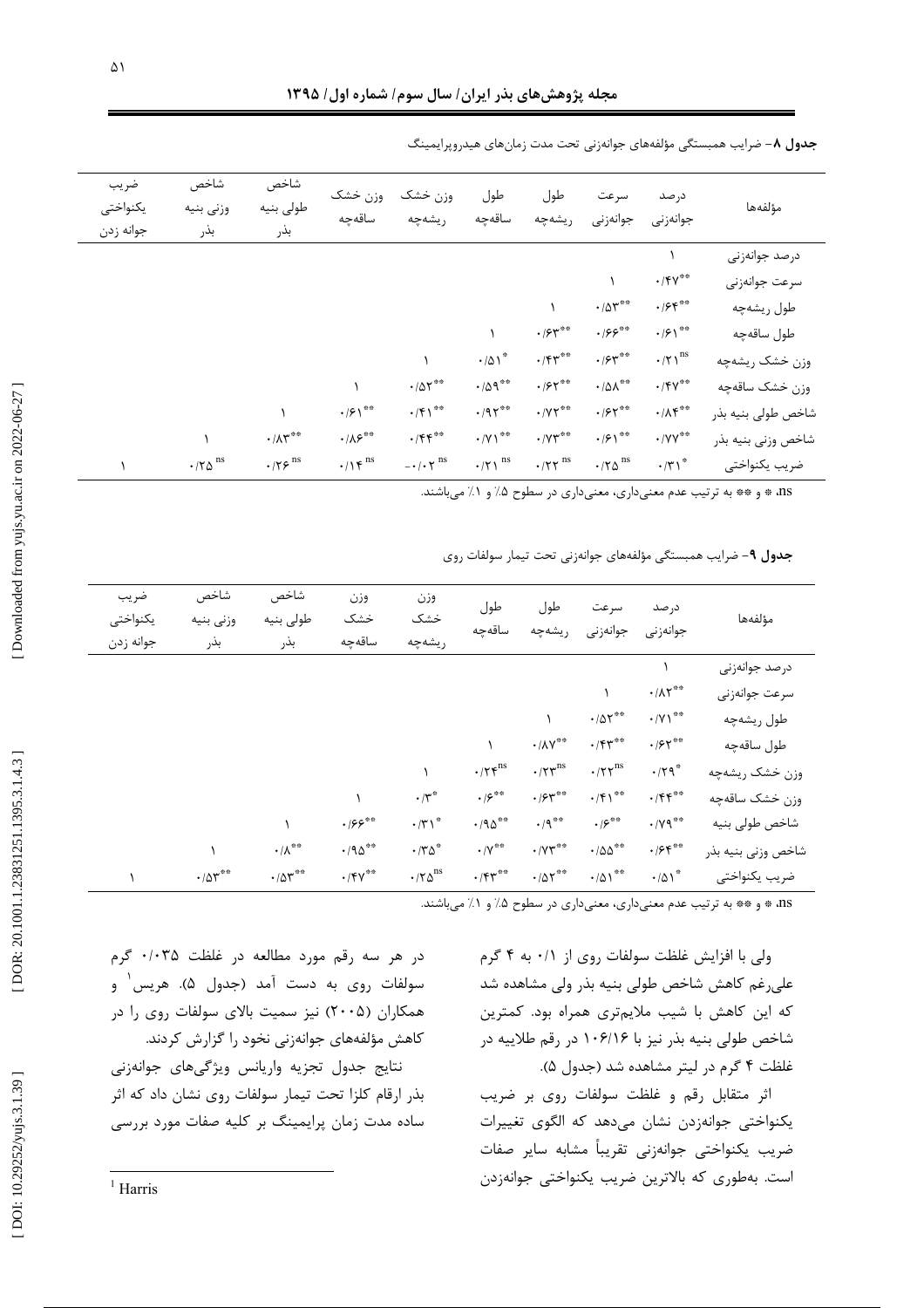| ضريب<br>يكنواختى<br>جوانه زدن | شاخص<br>وزنى بنيه<br>بذر             | شاخص<br>طولى بنيه<br>بذر         | وزن خشک<br>ساقەچە                | وزن خشک<br>ريشەچە                       | طول<br>ساقەچە                         | طول<br>ريشەچە                             | سرعت<br>جوانەزنى                     | درصد<br>جوانەزنى                  | مؤلفهها            |
|-------------------------------|--------------------------------------|----------------------------------|----------------------------------|-----------------------------------------|---------------------------------------|-------------------------------------------|--------------------------------------|-----------------------------------|--------------------|
|                               |                                      |                                  |                                  |                                         |                                       |                                           |                                      |                                   | درصد جوانەزنى      |
|                               |                                      |                                  |                                  |                                         |                                       |                                           |                                      | $\cdot$ /۴۷**                     | سرعت جوانهزني      |
|                               |                                      |                                  |                                  |                                         |                                       |                                           | $\cdot$ / $\Delta \Upsilon^{**}$     | $\cdot$ /۶۴**                     | طول ريشەچە         |
|                               |                                      |                                  |                                  |                                         |                                       | $\cdot$ / $\varsigma$ r <sup>**</sup>     | $\cdot$ /۶۶ $^{\ast\ast}$            | $\cdot$ / $5 \rangle$ **          | طول ساقەچە         |
|                               |                                      |                                  |                                  |                                         | $\cdot/\Delta1^*$                     | $\cdot$ /۴۳**                             | $\cdot$ / $54$ **                    | $\cdot/\tau$ $\rangle^\text{ns}$  | وزن خشک ريشهچه     |
|                               |                                      |                                  |                                  | $\cdot/\Delta\Upsilon^{**}$             | $\cdot$ /09**                         | $\cdot$ /۶۲ <sup>**</sup>                 | $\cdot/\Delta\Lambda^{***}$          | $\cdot$ /۴۷**                     | وزن خشک ساقهچه     |
|                               |                                      |                                  | $\cdot$ / $5 \rangle$ **         | $\cdot$ /۴۱ <sup>**</sup>               | $\cdot$ /9 $\tau$ **                  | $\cdot$ /<br>Y $\uparrow^{\ast\ast}$      | $\cdot$ /۶۲ <sup>**</sup>            | $\cdot/\Lambda \mathfrak{f}^{**}$ | شاخص طولي بنيه بذر |
|                               |                                      | $\cdot/\Lambda \texttt{M}^{***}$ | $\cdot/\lambda \mathcal{S}^{**}$ | $\cdot$ /۴۴**                           | $\cdot$ /Y \**                        | $\cdot$ / $Y^*$ **                        | $\cdot$ / $5 \rangle$ **             | $\cdot$ /YY <sup>**</sup>         | شاخص وزني بنيه بذر |
|                               | $\boldsymbol{\cdot}$ /٢٥ $^{\rm ns}$ | $\cdot$ /۲۶ $^{\rm ns}$          | $\cdot/\gamma$ ۴ <sup>ns</sup>   | $ \cdot$ / $\cdot$ $\tau$ <sup>ns</sup> | $\boldsymbol{\cdot}$ /۲ \ $^{\rm ns}$ | $\boldsymbol{\cdot}$ /٢٢ $^{\mathrm{ns}}$ | $\boldsymbol{\cdot}$ /٢٥ $^{\rm ns}$ | $\cdot$ /٣١ <sup>*</sup>          | ضريب يكنواختى      |

جدول ۸- ضرایب همبستگی مؤلفههای جوانهزنی تحت مدت زمانهای هیدروپرایمینگ

ns، \* و \*\* به ترتیب عدم معنیداری، معنیداری در سطوح ۰٪ و ۱٪ میباشند.

جدول ۹- ضرایب همبستگی مؤلفههای جوانهزنی تحت تیمار سولفات روی

| ضريب<br>يكنواختى<br>جوانه زدن | شاخص<br>وزنى بنيه<br>بذر         | شاخص<br>طولى بنيه<br>بذر     | وزن<br>خشک<br>ساقەچە      | وزن<br>خشک<br>ريشەچە                                      | طول<br>ساقەچە                                | طول<br>ريشەچە                                               | سرعت<br>جوانەزنى                     | درصد<br>جوانەزنى              | مؤلفهها            |
|-------------------------------|----------------------------------|------------------------------|---------------------------|-----------------------------------------------------------|----------------------------------------------|-------------------------------------------------------------|--------------------------------------|-------------------------------|--------------------|
|                               |                                  |                              |                           |                                                           |                                              |                                                             |                                      |                               | درصد جوانەزنى      |
|                               |                                  |                              |                           |                                                           |                                              |                                                             |                                      | $\cdot/\lambda \Upsilon^{**}$ | سرعت جوانەزنى      |
|                               |                                  |                              |                           |                                                           |                                              |                                                             | $\cdot$ / $\Delta \Upsilon^{**}$     | $\cdot$ /Y \**                | طول ريشهچه         |
|                               |                                  |                              |                           |                                                           |                                              | $\boldsymbol{\cdot}$ /<br>AV $^{**}$                        | $\cdot$ /۴۳**                        | $\cdot$ / $55$ **             | طول ساقەچە         |
|                               |                                  |                              |                           |                                                           | $\cdot/\tau$ $\zeta^{\rm ns}$                | $\boldsymbol{\cdot}$ /٢ $\boldsymbol{\upgamma}^{\text{ns}}$ | $\boldsymbol{\cdot}$ /٢٢ $^{\rm ns}$ | $\cdot$ /٢٩ <sup>*</sup>      | وزن خشک ریشهچه     |
|                               |                                  |                              |                           | $\boldsymbol{\cdot} /\boldsymbol{\upgamma}^*$             | $\cdot$ / $\varsigma^{**}$                   | $\cdot$ /۶۳**                                               | $\cdot$ /۴۱ <sup>**</sup>            | $\cdot$ /۴۴**                 | وزن خشک ساقهچه     |
|                               |                                  |                              | $\cdot$ /۶۶ $^{\ast\ast}$ | $\cdot/\mathsf{r}$                                        | $\cdot$ /9 $\!\Delta^{\ast\ast}$             | $\cdot$ /9**                                                | $\cdot$ / $\varsigma^{**}$           | $\cdot$ / Y 9 **              | شاخص طولى بنيه     |
|                               |                                  | $\cdot/\Lambda^{**}$         | $\cdot$ /90 <sup>**</sup> | $\cdot$ /٣ $\Delta^*$                                     | $\boldsymbol{\cdot} / \mathsf{Y}^{\ast\ast}$ | $\cdot$ / $\gamma \gamma$ **                                | $\cdot$ /00 $^{\ast\ast}$            | $\cdot$ /۶۴**                 | شاخص وزني بنيه بذر |
|                               | $\cdot$ / $\Delta \Upsilon^{**}$ | $\cdot/\Delta \Upsilon^{**}$ | $\cdot$ /۴۷**             | $\boldsymbol{\cdot}$ /٢ $\boldsymbol{\Delta}^{\text{ns}}$ | $\cdot$ /۴۳**                                | $\cdot$ /۵۲**                                               | $\cdot/\Delta$ \ $^{**}$             | $\cdot/\Delta1^*$             | ضريب يكنواختى      |

ns، \* و \*\* به ترتیب عدم معنیداری، معنیداری در سطوح ۰٪ و ۱٪ میباشند.

ولی با افزایش غلظت سولفات روی از ۰/۱ به ۴ گرم علی رغم کاهش شاخص طولی بنیه بذر ولی مشاهده شد که این کاهش با شیب ملایمتری همراه بود. کمترین شاخص طولی بنیه بذر نیز با ۱۰۶/۱۶ در رقم طلاییه در غلظت ۴ گرم در لیتر مشاهده شد (جدول ۵).

اثر متقابل رقم و غلظت سولفات روى بر ضريب یکنواختی جوانهزدن نشان میدهد که الگوی تغییرات ضريب يكنواختى جوانهزني تقريبأ مشابه ساير صفات است. بەطورى كە بالاترين ضريب يكنواختى جوانەزدن

در هر سه رقم مورد مطالعه در غلظت ۰/۰۳۵ گرم سولفات روی به دست آمد (جدول ۵). هریس و همکاران (۲۰۰۵) نیز سمیت بالای سولفات روی را در کاهش مؤلفههای جوانهزنی نخود را گزارش کردند.

نتايج جدول تجزيه واريانس ويژگىهاى جوانهزنى بذر ارقام كلزا تحت تيمار سولفات روى نشان داد كه اثر ساده مدت زمان پرایمینگ بر کلیه صفات مورد بررسی

 $1$  Harris

 $\Delta$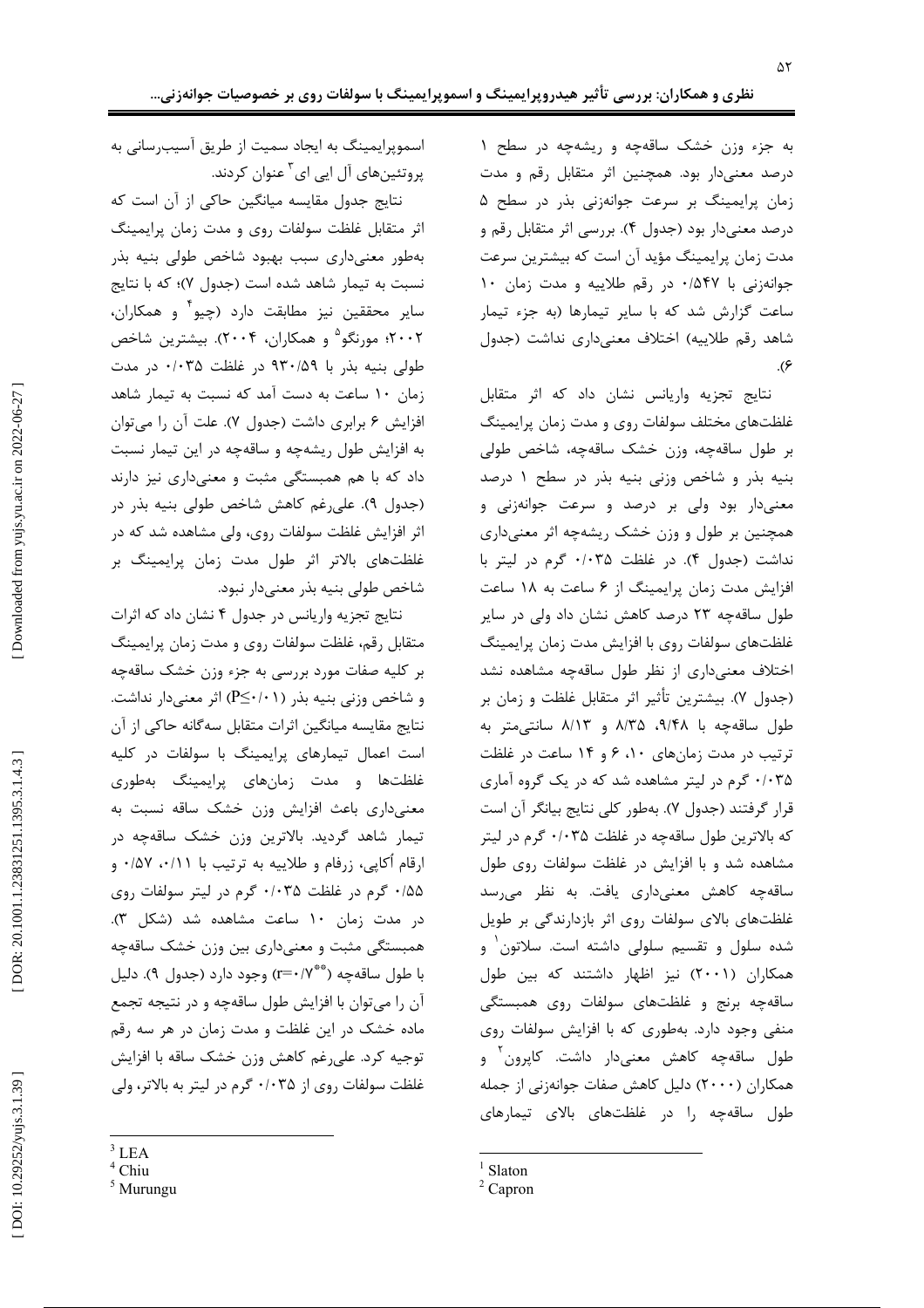به جزء وزن خشک ساقهچه و ریشهچه در سطح ۱ درصد معنیدار بود. همچنین اثر متقابل رقم و مدت زمان پرایمینگ بر سرعت جوانهزنی بذر در سطح ۵ درصد معنیدار بود (جدول ۴). بررسی اثر متقابل رقم و مدت زمان پرایمینگ مؤید آن است که بیشترین سرعت جوانهزنی با ۰/۵۴۷ در رقم طلاییه و مدت زمان ۱۰ ساعت گزارش شد که با سایر تیمارها (به جزء تیمار شاهد رقم طلاییه) اختلاف معنیداری نداشت (جدول  $\cdot$ (۶

نتايج تجزيه واريانس نشان داد كه اثر متقابل غلظتهای مختلف سولفات روی و مدت زمان پرایمینگ بر طول ساقەچە، وزن خشک ساقەچە، شاخص طولى بنیه بذر و شاخص وزنی بنیه بذر در سطح ۱ درصد معنیدار بود ولی بر درصد و سرعت جوانهزنی و همچنین بر طول و وزن خشک ریشهچه اثر معنیداری نداشت (جدول ۴). در غلظت ۰/۰۳۵ گرم در ليتر با افزایش مدت زمان پرایمینگ از ۶ ساعت به ۱۸ ساعت طول ساقهچه ۲۳ درصد کاهش نشان داد ولی در سایر غلظتهای سولفات روی با افزایش مدت زمان پرایمینگ اختلاف معنى دارى از نظر طول ساقهچه مشاهده نشد (جدول ۷). بیشترین تأثیر اثر متقابل غلظت و زمان بر طول ساقه چه با ۹/۴۸، ۸/۳۵ و ۸/۱۳ سانتی متر به ترتیب در مدت زمانهای ۱۰، ۶ و ۱۴ ساعت در غلظت ۰/۰۳۵ گرم در لیتر مشاهده شد که در یک گروه آماری قرار گرفتند (جدول ۷). بهطور كلي نتايج بيانگر آن است که بالاترین طول ساقهچه در غلظت ۰/۰۳۵ گرم در لیتر مشاهده شد و با افزایش در غلظت سولفات روی طول ساقەچە كاھش معنىدارى يافت. بە نظر مى سد غلظتهای بالای سولفات روی اثر بازدارندگی بر طویل شده سلول و تقسیم سلولی داشته است. سلاتون و همکاران (۲۰۰۱) نیز اظهار داشتند که بین طول ساقهچه برنج و غلظتهای سولفات روی همبستگی منفی وجود دارد. بهطوری که با افزایش سولفات روی طول ساقەچە كاھش معنىدار داشت. كاپرون و همکاران (۲۰۰۰) دلیل کاهش صفات جوانهزنی از جمله طول ساقهچه را در غلظتهای بالای تیمارهای

اسموپرایمینگ به ایجاد سمیت از طریق آسیبرسانی به پروتئینهای آل ایی ای<sup>۲</sup> عنوان کردند.

نتایج جدول مقایسه میانگین حاکی از آن است که اثر متقابل غلظت سولفات روى و مدت زمان پرايمينگ بهطور معنىدارى سبب بهبود شاخص طولى بنيه بذر نسبت به تیمار شاهد شده است (جدول ۷)؛ که با نتایج سایر محققین نیز مطابقت دارد (چیو و همکاران، ۲۰۰۲؛ مورنگو<sup>۵</sup> و همکاران، ۲۰۰۴). بیشترین شاخص طولی بنیه بذر با ۹۳۰/۵۹ در غلظت ۰/۰۳۵ در مدت زمان ١٠ ساعت به دست آمد كه نسبت به تيمار شاهد افزایش ۶ برابری داشت (جدول ۷). علت آن را می توان به افزایش طول ریشهچه و ساقهچه در این تیمار نسبت داد که با هم همبستگی مثبت و معنیداری نیز دارند (جدول ٩). على رغم كاهش شاخص طولى بنيه بذر در اثر افزایش غلظت سولفات روی، ولی مشاهده شد که در غلظتهای بالاتر اثر طول مدت زمان پرایمینگ بر شاخص طولي بنيه بذر معنى دار نبود.

نتايج تجزيه واريانس در جدول ۴ نشان داد كه اثرات متقابل رقم، غلظت سولفات روى و مدت زمان پرايمينگ بر کلیه صفات مورد بررسی به جزء وزن خشک ساقهچه و شاخص وزنی بنیه بذر (P≤٠/٠١) اثر معنیدار نداشت. نتايج مقايسه ميانگين اثرات متقابل سهگانه حاكي از آن است اعمال تیمارهای پرایمینگ با سولفات در کلیه غلظتها و مدت زمانهای پرایمینگ بهطوری معنیداری باعث افزایش وزن خشک ساقه نسبت به تیمار شاهد گردید. بالاترین وزن خشک ساقهچه در ارقام اُکاپی، زرفام و طلاییه به ترتیب با ۰/۵۷ ۰/۱۱ و ۰/۵۵ گرم در غلظت ۰/۰۳۵ گرم در لیتر سولفات روی در مدت زمان ١٠ ساعت مشاهده شد (شكل ٣). همبستگی مثبت و معنیداری بین وزن خشک ساقهچه با طول ساقهچه (\*\*\*r=() وجود دارد (جدول ۹). دليل آن را میتوان با افزایش طول ساقهچه و در نتیجه تجمع ماده خشک در این غلظت و مدت زمان در هر سه رقم توجيه كرد. على رغم كاهش وزن خشك ساقه با افزايش غلظت سولفات روی از ۰/۰۳۵ گرم در لیتر به بالاتر، ولی

DOI: 10.29252/yujs.3.1.39]

 $<sup>1</sup>$  Slaton</sup>

 $2$  Capron

 $3$  LEA

 $<sup>4</sup>$  Chiu</sup>

 $<sup>5</sup>$  Murungu</sup>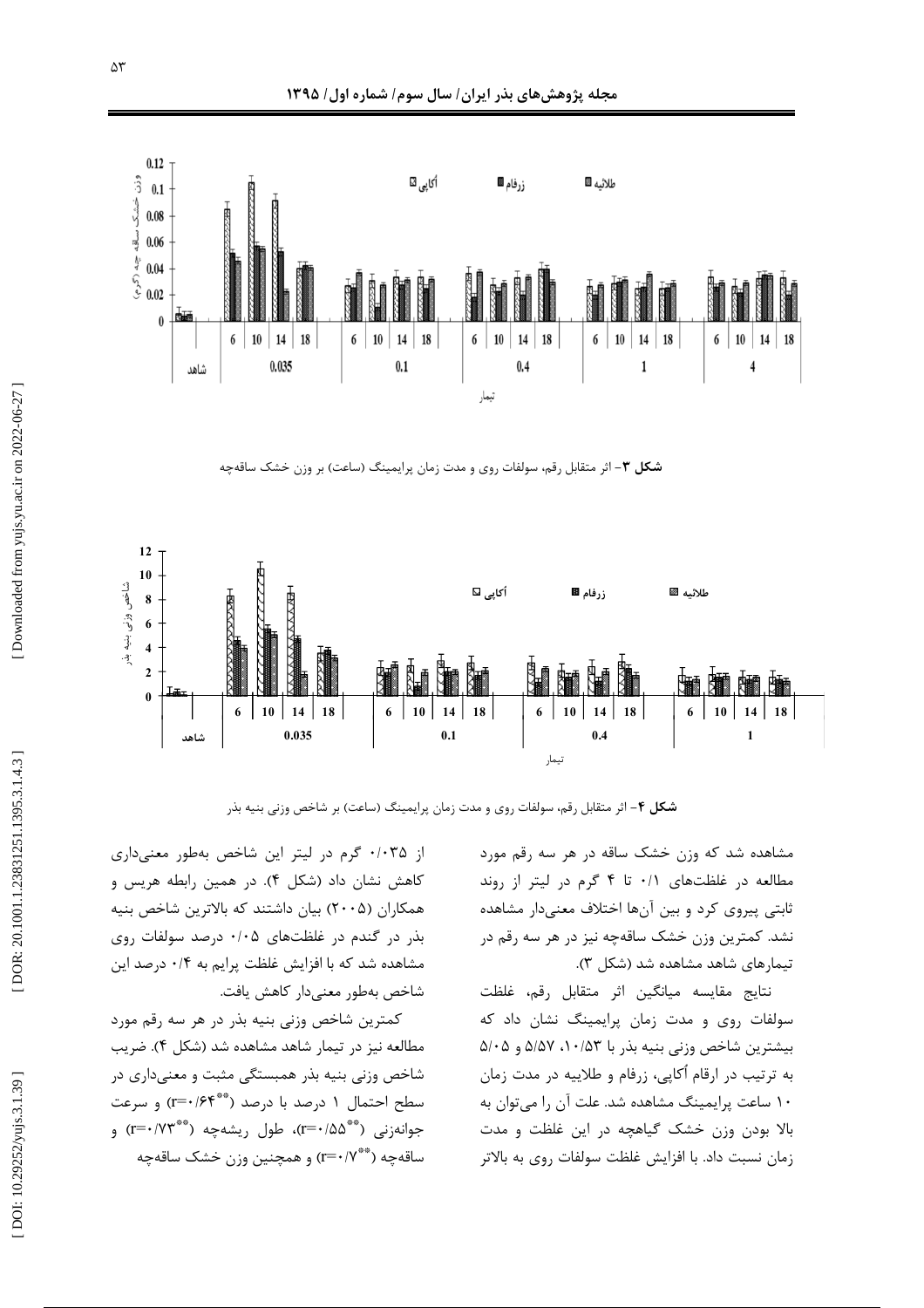

**شکل ۳**– اثر متقابل رقم، سولفات روی و مدت زمان پرایمینگ (ساعت) بر وزن خشک ساقهچه



**شکل ۴**– اثر متقابل رقم، سولفات روی و مدت زمان پرایمینگ (ساعت) بر شاخص وزنی بنیه بذر

مشاهده شد که وزن خشک ساقه در هر سه رقم مورد مطالعه در غلظتهای ۰/۱ تا ۴ گرم در لیتر از روند ثابتی پیروی کرد و بین آنها اختلاف معنیدار مشاهده نشد. کمترین وزن خشک ساقهچه نیز در هر سه رقم در تیمارهای شاهد مشاهده شد (شکل ۳).

نتايج مقايسه ميانگين اثر متقابل رقم، غلظت سولفات روی و مدت زمان پرایمینگ نشان داد که بیشترین شاخص وزنی بنیه بذر با ۵/۰۵۳، ۵/۵۷ و ۵/۰۵ به ترتیب در ارقام آکاپی، زرفام و طلاییه در مدت زمان ۱۰ ساعت پرایمینگ مشاهده شد. علت آن را میتوان به  $\overline{\phantom{a}}$ . الا بودن وزن خشک گیاهچه در این غلظت و مدت į زمان نسبت داد. با افزایش غلظت سولفات روی به بالاتر ė

از ۰/۰۳۵ گرم در لیتر این شاخص بهطور معنیداری کاهش نشان داد (شکل ۴). در همین رابطه هریس و . همکاران (۲۰۰۵) بیان داشتند که بالاترین شاخص بنیه بذر در گندم در غلظتهای ۰/۰۵ درصد سولفات روی مشاهده شد که با افزایش غلظت پرایم به ۰/۴ درصد این شاخص بەطور معنىدار كاهش يافت.

کمترین شاخص وزنی بنیه بذر در هر سه رقم مورد مطالعه نیز در تیمار شاهد مشاهده شد (شکل ۴). ضریب شاخص وزنی بنیه بذر همبستگی مثبت و معنیداری در سطح احتمال ۱ درصد با درصد (\*\*\*r=۰/۶۴) و سرعت جوانهزنی (\*\*\*r=0/5)، طول ریشهچه (\*\*\*r=0/7) و ساقهچه (\*\*\*/\+=r) و همچنین وزن خشک ساقهچه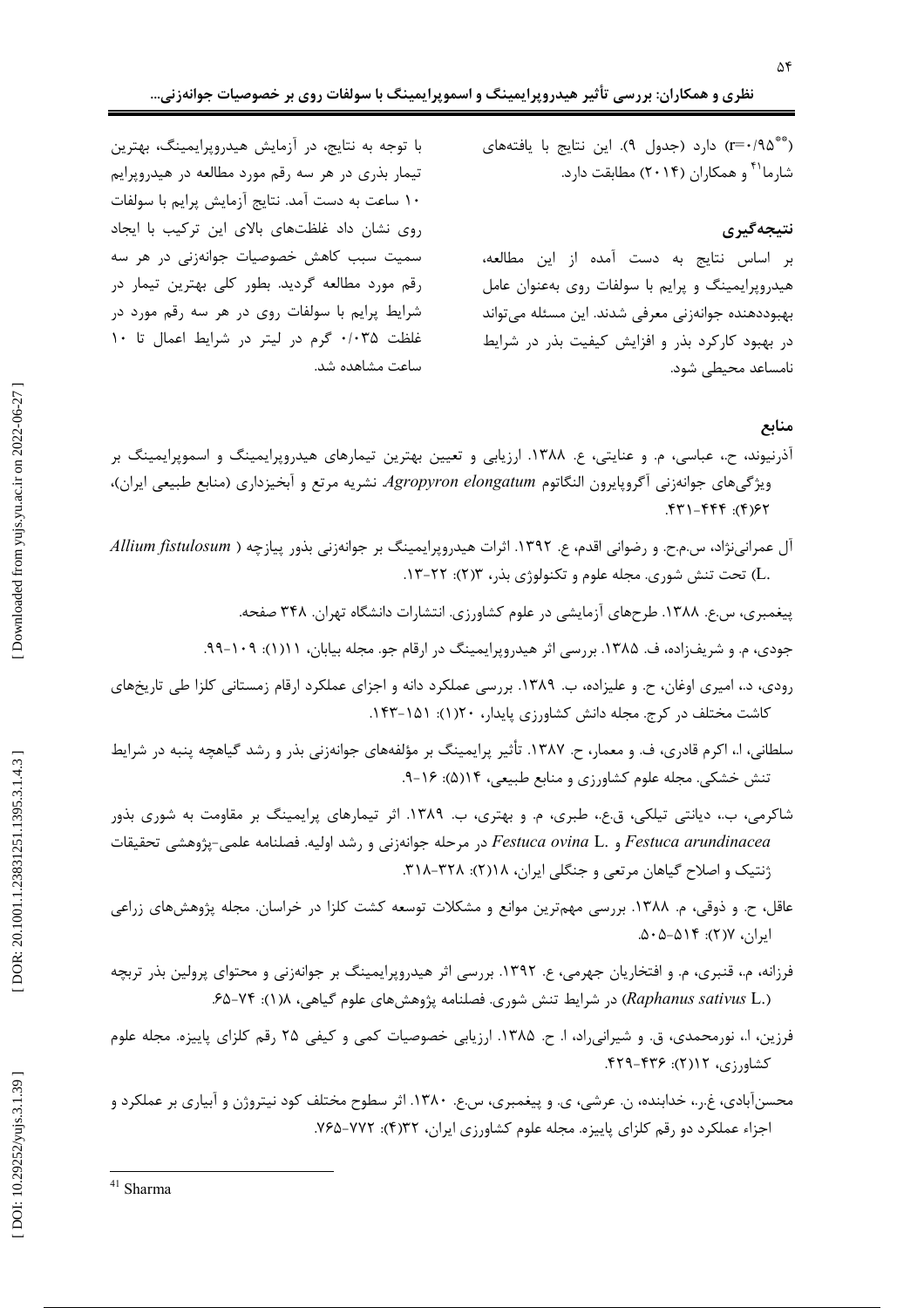(\*\*\* r=٠/٩۵) دارد (جدول ٩). اين نتايج با يافتههاي شارما<sup>۴۱</sup> و همکاران (۲۰۱۴) مطابقت دارد.

## نتىجەگىرى

بر اساس نتايج به دست آمده از اين مطالعه، هیدروپرایمینگ و پرایم با سولفات روی بهعنوان عامل بهبوددهنده جوانهزني معرفي شدند. اين مسئله مي تواند در بهبود کارکرد بذر و افزایش کیفیت بذر در شرایط نامساعد محتطى شود.

با توجه به نتایج، در آزمایش هیدروپرایمینگ، بهترین تیمار بذری در هر سه رقم مورد مطالعه در هیدروپرایم ١٠ ساعت به دست آمد. نتايج آزمايش پرايم با سولفات روی نشان داد غلظتهای بالای این ترکیب با ایجاد سمیت سبب کاهش خصوصیات جوانهزنی در هر سه رقم مورد مطالعه گردید. بطور کلی بهترین تیمار در شرایط پرایم با سولفات روی در هر سه رقم مورد در غلظت ۰/۰۳۵ گرم در لیتر در شرایط اعمال تا ۱۰ ساعت مشاهده شد.

### منابع

- آذرنیوند، ح.، عباسی، م. و عنایتی، ع. ۱۳۸۸. ارزیابی و تعیین بهترین تیمارهای هیدروپرایمینگ و اسموپرایمینگ بر ویژگی های جوانهزنی آگروپایرون النگاتوم Agropyron elongatum نشریه مرتع و آبخیزداری (منابع طبیعی ایران)،  $79(7)$ :  $777-177$ .
- آل عمرانینژاد، س.م.ح. و رضوانی اقدم، ع. ۱۳۹۲. اثرات هیدروپرایمینگ بر جوانهزنی بذور پیازچه ( Allium fistulosum .L) تحت تنش شوری. مجله علوم و تکنولوژی بذر، ۲۳(۲): ۲۲–۱۳.
	- پیغمبری، س.ع. ۱۳۸۸. طرحهای آزمایشی در علوم کشاورزی. انتشارات دانشگاه تهران. ۳۴۸ صفحه.
	- جودی، م. و شریفزاده، ف. ۱۳۸۵. بررسی اثر هیدروپرایمینگ در ارقام جو. مجله بیابان، ۱۱۱(): ۱۰۹–۹۹.
- رودی، د.، امیری اوغان، ح. و علیزاده، ب. ۱۳۸۹. بررسی عملکرد دانه و اجزای عملکرد ارقام زمستانی کلزا طی تاریخهای کاشت مختلف در کرج. مجله دانش کشاورزی پایدار، ۲۰(۱): ۱۵۱-۱۴۳.
- سلطانی، ا.، اکرم قادری، ف. و معمار، ح. ۱۳۸۷. تأثیر پرایمینگ بر مؤلفههای جوانهزنی بذر و رشد گیاهچه پنبه در شرایط تنش خشکی. مجله علوم کشاورزی و منابع طبیعی، ۱۴(۵): ۱۶-۹.
- شاکرمی، ب.، دیانتی تیلکی، ق.ع.، طبری، م. و بهتری، ب. ۱۳۸۹. اثر تیمارهای پرایمینگ بر مقاومت به شوری بذور Festuca arundinacea و .Festuca ovina L در مرحله جوانهزني و رشد اوليه. فصلنامه علمي-پژوهشي تحقيقات ژنتیک و اصلاح گیاهان مرتعی و جنگلی ایران، ۱۸(۲): ۳۲۸-۳۱۸.
- عاقل، ح. و ذوقی، م. ۱۳۸۸. بررسی مهمترین موانع و مشکلات توسعه کشت کلزا در خراسان. مجله پژوهشهای زراعی ایران، ۲(۲): ۵۰۵-۵۰۵.
- فرزانه، م.، قنبری، م. و افتخاریان جهرمی، ع. ١٣٩٢. بررسی اثر هیدروپرایمینگ بر جوانهزنی و محتوای پرولین بذر تربچه (Raphanus sativus L.) در شرايط تنش شوري. فصلنامه پژوهشهاي علوم گياهي، ١(١): ٧۴-۶۵.
- فرزین، ا.، نورمحمدی، ق. و شیرانی٫راد، ا. ح. ۱۳۸۵. ارزیابی خصوصیات کمی و کیفی ۲۵ رقم کلزای پاییزه. مجله علوم كشاورزي، ١٢(٢): ۴٣۶-۴٢٩.
- محسنآبادی، غ.ر.، خدابنده، ن. عرشی، ی. و پیغمبری، س.ع. ۱۳۸۰. اثر سطوح مختلف کود نیتروژن و آبیاری بر عملکرد و اجزاء عملکرد دو رقم کلزای پاییزه. مجله علوم کشاورزی ایران، ۲۲(۴): ۷۶۵-۷۶۵.

Downloaded from yujs.yu.ac.ir on 2022-06-27]

<sup>&</sup>lt;sup>41</sup> Sharma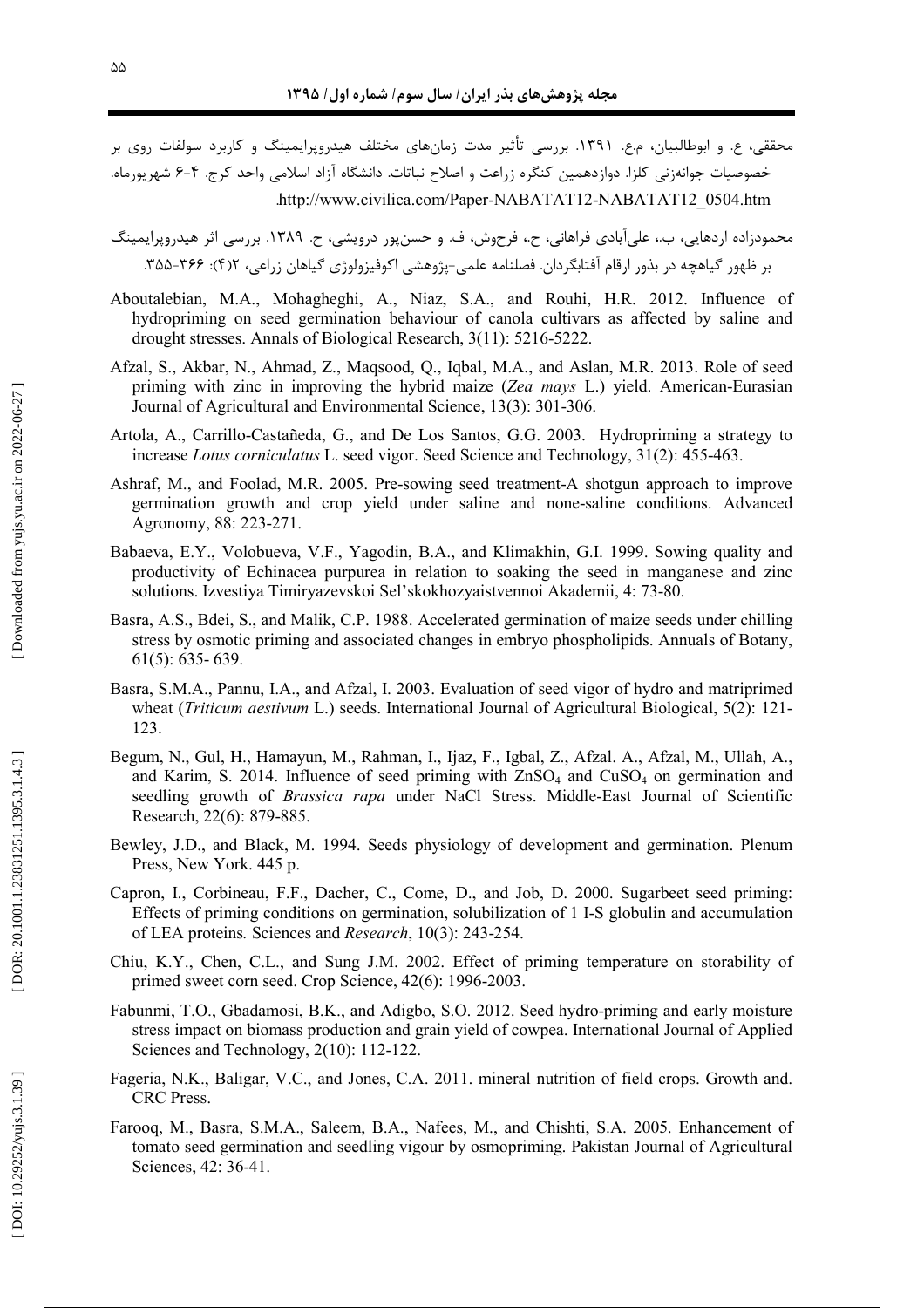محققی، ع. و ابوطالبیان، م.ع. ۱۳۹۱. بررسی تأثیر مدت زمانهای مختلف هیدروپرایمینگ و کاربرد سولفات روی بر . . . . . خصوصیات جوانهزنی کلزا. دوازدهمین کنگره زراعت و اصلاح نباتات. دانشگاه آزاد اسلامی واحد کرج. ۴–۶ شهریورماه . . . . http://www.civilica.com/Paper-NABATAT12-NABATAT12\_0504.htm

- محمودزاده اردهایی، ب.، علیأبادی فراهانی، ح.، فرحوش، ف. و حسنپور درویشی، ح. ۱۳۸۹. بررسی اثر هیدروپرایمینگ . . . . . . بر ظهور گیاهچه در بذور ارقام آفتابگردان. فصلنامه علمی-پژوهشی اکوفیزولوژی گیاهان زراعی، ۲۲۶۲. ۳۵۵–۳۵۵ :
- Aboutalebian, M.A., Mohagheghi, A., Niaz, S.A., and Rouhi, H.R. 2012. Influence of hydropriming on seed germination behaviour of canola cultivars as affected by saline and drought stresses. Annals of Biological Research, 3(11): 5216-5222.
- Afzal, S., Akbar, N., Ahmad, Z., Maqsood, Q., Iqbal, M.A., and Aslan, M.R. 2013. Role of seed priming with zinc in improving the hybrid maize (*Zea mays* L.) yield. American-Eurasian Journal of Agricultural and Environmental Science, 13(3): 301-306.
- Artola, A., Carrillo-Castañeda, G., and De Los Santos, G.G. 2003. Hydropriming a strategy to increase *Lotus corniculatus* L. seed vigor. Seed Science and Technology, 31(2): 455-463.
- Ashraf, M., and Foolad, M.R. 2005. Pre-sowing seed treatment-A shotgun approach to improve germination growth and crop yield under saline and none-saline conditions. Advanced Agronomy, 88: 223-271.
- Babaeva, E.Y., Volobueva, V.F., Yagodin, B.A., and Klimakhin, G.I. 1999. Sowing quality and productivity of Echinacea purpurea in relation to soaking the seed in manganese and zinc solutions. Izvestiya Timiryazevskoi Sel'skokhozyaistvennoi Akademii, 4: 73-80.
- Basra, A.S., Bdei, S., and Malik, C.P. 1988. Accelerated germination of maize seeds under chilling stress by osmotic priming and associated changes in embryo phospholipids. Annuals of Botany, 61(5): 635- 639.
- Basra, S.M.A., Pannu, I.A., and Afzal, I. 2003. Evaluation of seed vigor of hydro and matriprimed wheat (*Triticum aestivum* L.) seeds. International Journal of Agricultural Biological, 5(2): 121- 123.
- Begum, N., Gul, H., Hamayun, M., Rahman, I., Ijaz, F., Igbal, Z., Afzal. A., Afzal, M., Ullah, A., and Karim, S. 2014. Influence of seed priming with  $ZnSO<sub>4</sub>$  and  $CuSO<sub>4</sub>$  on germination and seedling growth of *Brassica rapa* under NaCl Stress. Middle-East Journal of Scientific Research, 22(6): 879-885.
- Bewley, J.D., and Black, M. 1994. Seeds physiology of development and germination. Plenum Press, New York. 445 p.
- Capron, I., Corbineau, F.F., Dacher, C., Come, D., and Job, D. 2000. Sugarbeet seed priming: Effects of priming conditions on germination, solubilization of 1 I-S globulin and accumulation of LEA proteins *.* Sciences and *Research* , 10(3): 243-254.
- Chiu, K.Y., Chen, C.L., and Sung J.M. 2002. Effect of priming temperature on storability of primed sweet corn seed. Crop Science, 42(6): 1996-2003.
- Fabunmi, T.O., Gbadamosi, B.K., and Adigbo, S.O. 2012. Seed hydro-priming and early moisture stress impact on biomass production and grain yield of cowpea. International Journal of Applied Sciences and Technology, 2(10): 112-122.
- Fageria, N.K., Baligar, V.C., and Jones, C.A. 2011. mineral nutrition of field crops. Growth and. CRC Press.
- Farooq, M., Basra, S.M.A., Saleem, B.A., Nafees, M., and Chishti, S.A. 2005. Enhancement of tomato seed germination and seedling vigour by osmopriming. Pakistan Journal of Agricultural Sciences, 42: 36-41.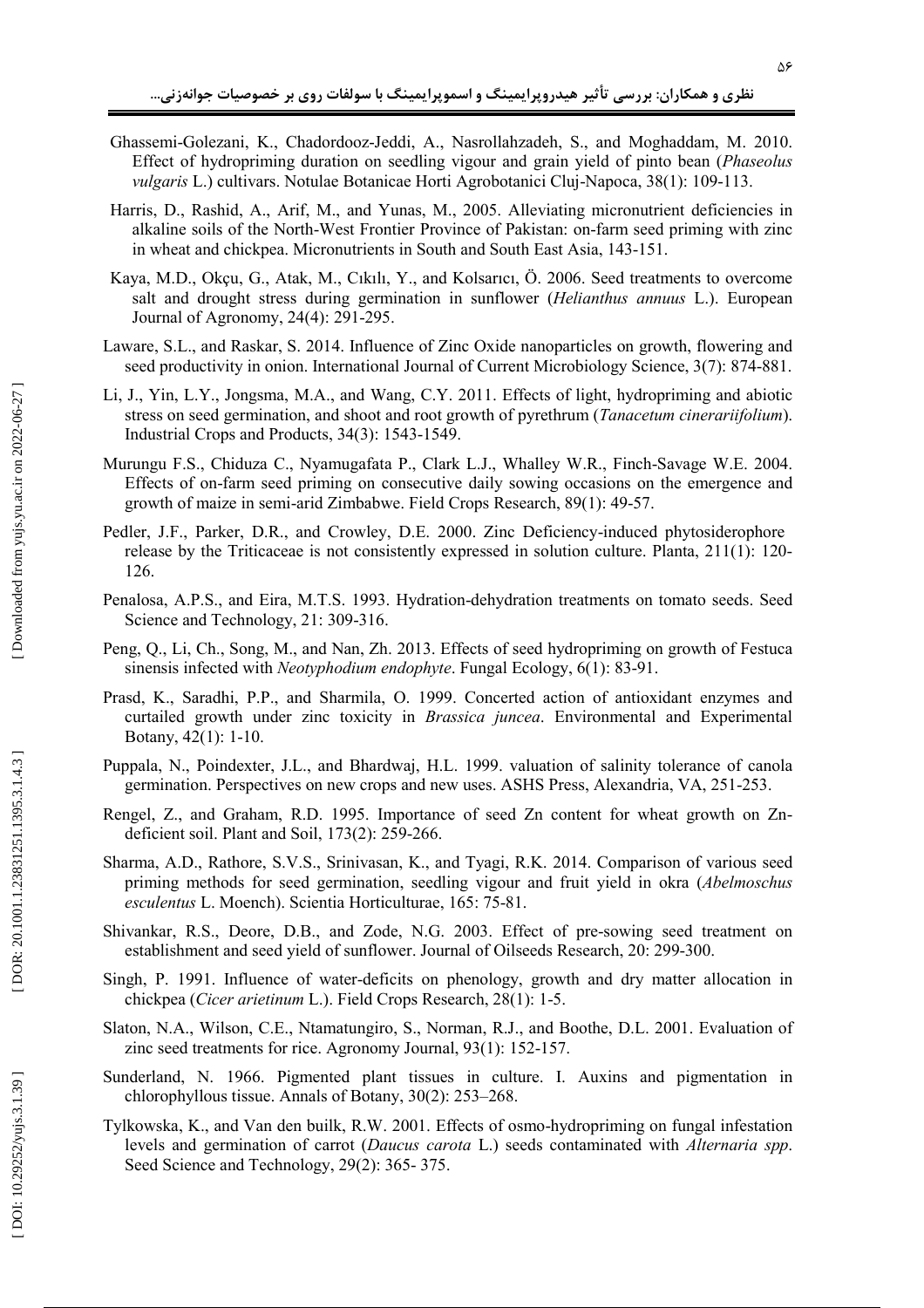- Ghassemi-Golezani, K., Chadordooz-Jeddi, A., Nasrollahzadeh, S., and Moghaddam, M. 2010. Effect of hydropriming duration on seedling vigour and grain yield of pinto bean (*Phaseolus vulgaris* L.) cultivars. Notulae Botanicae Horti Agrobotanici Cluj-Napoca, 38(1): 109-113.
- Harris, D., Rashid, A., Arif, M., and Yunas, M., 2005. Alleviating micronutrient deficiencies in alkaline soils of the North-West Frontier Province of Pakistan: on-farm seed priming with zinc in wheat and chickpea. Micronutrients in South and South East Asia, 143-151.
- Kaya, M.D., Okçu, G., Atak, M., Cıkılı, Y., and Kolsarıcı, Ö. 2006. Seed treatments to overcome salt and drought stress during germination in sunflower (Helianthus annuus L.). European Journal of Agronomy, 24(4): 291-295.
- Laware, S.L., and Raskar, S. 2014. Influence of Zinc Oxide nanoparticles on growth, flowering and seed productivity in onion. International Journal of Current Microbiology Science, 3(7): 874-881.
- Li, J., Yin, L.Y., Jongsma, M.A., and Wang, C.Y. 2011. Effects of light, hydropriming and abiotic stress on seed germination, and shoot and root growth of pyrethrum (Tanacetum cinerariifolium). Industrial Crops and Products, 34(3): 1543-1549.
- Murungu F.S., Chiduza C., Nyamugafata P., Clark L.J., Whalley W.R., Finch-Savage W.E. 2004. Effects of on-farm seed priming on consecutive daily sowing occasions on the emergence and growth of maize in semi-arid Zimbabwe. Field Crops Research, 89(1): 49-57.
- Pedler, J.F., Parker, D.R., and Crowley, D.E. 2000. Zinc Deficiency-induced phytosiderophore release by the Triticaceae is not consistently expressed in solution culture. Planta, 211(1): 120-126.
- Penalosa, A.P.S., and Eira, M.T.S. 1993. Hydration-dehydration treatments on tomato seeds. Seed Science and Technology, 21: 309-316.
- Peng, Q., Li, Ch., Song, M., and Nan, Zh. 2013. Effects of seed hydropriming on growth of Festuca sinensis infected with *Neotyphodium endophyte*. Fungal Ecology, 6(1): 83-91.
- Prasd, K., Saradhi, P.P., and Sharmila, O. 1999. Concerted action of antioxidant enzymes and curtailed growth under zinc toxicity in *Brassica juncea*. Environmental and Experimental Botany,  $42(1)$ : 1-10.
- Puppala, N., Poindexter, J.L., and Bhardwaj, H.L. 1999. valuation of salinity tolerance of canola germination. Perspectives on new crops and new uses. ASHS Press, Alexandria, VA, 251-253.
- Rengel, Z., and Graham, R.D. 1995. Importance of seed Zn content for wheat growth on Zndeficient soil. Plant and Soil, 173(2): 259-266.
- Sharma, A.D., Rathore, S.V.S., Srinivasan, K., and Tyagi, R.K. 2014. Comparison of various seed priming methods for seed germination, seedling vigour and fruit yield in okra (Abelmoschus esculentus L. Moench). Scientia Horticulturae, 165: 75-81.
- Shivankar, R.S., Deore, D.B., and Zode, N.G. 2003. Effect of pre-sowing seed treatment on establishment and seed yield of sunflower. Journal of Oilseeds Research, 20: 299-300.
- Singh, P. 1991. Influence of water-deficits on phenology, growth and dry matter allocation in chickpea (Cicer arietinum L.). Field Crops Research, 28(1): 1-5.
- Slaton, N.A., Wilson, C.E., Ntamatungiro, S., Norman, R.J., and Boothe, D.L. 2001. Evaluation of zinc seed treatments for rice. Agronomy Journal, 93(1): 152-157.
- Sunderland, N. 1966. Pigmented plant tissues in culture. I. Auxins and pigmentation in chlorophyllous tissue. Annals of Botany, 30(2): 253–268.
- Tylkowska, K., and Van den builk, R.W. 2001. Effects of osmo-hydropriming on fungal infestation levels and germination of carrot (Daucus carota L.) seeds contaminated with Alternaria spp. Seed Science and Technology, 29(2): 365-375.

DOI: 10.29252/yujs.3.1.39]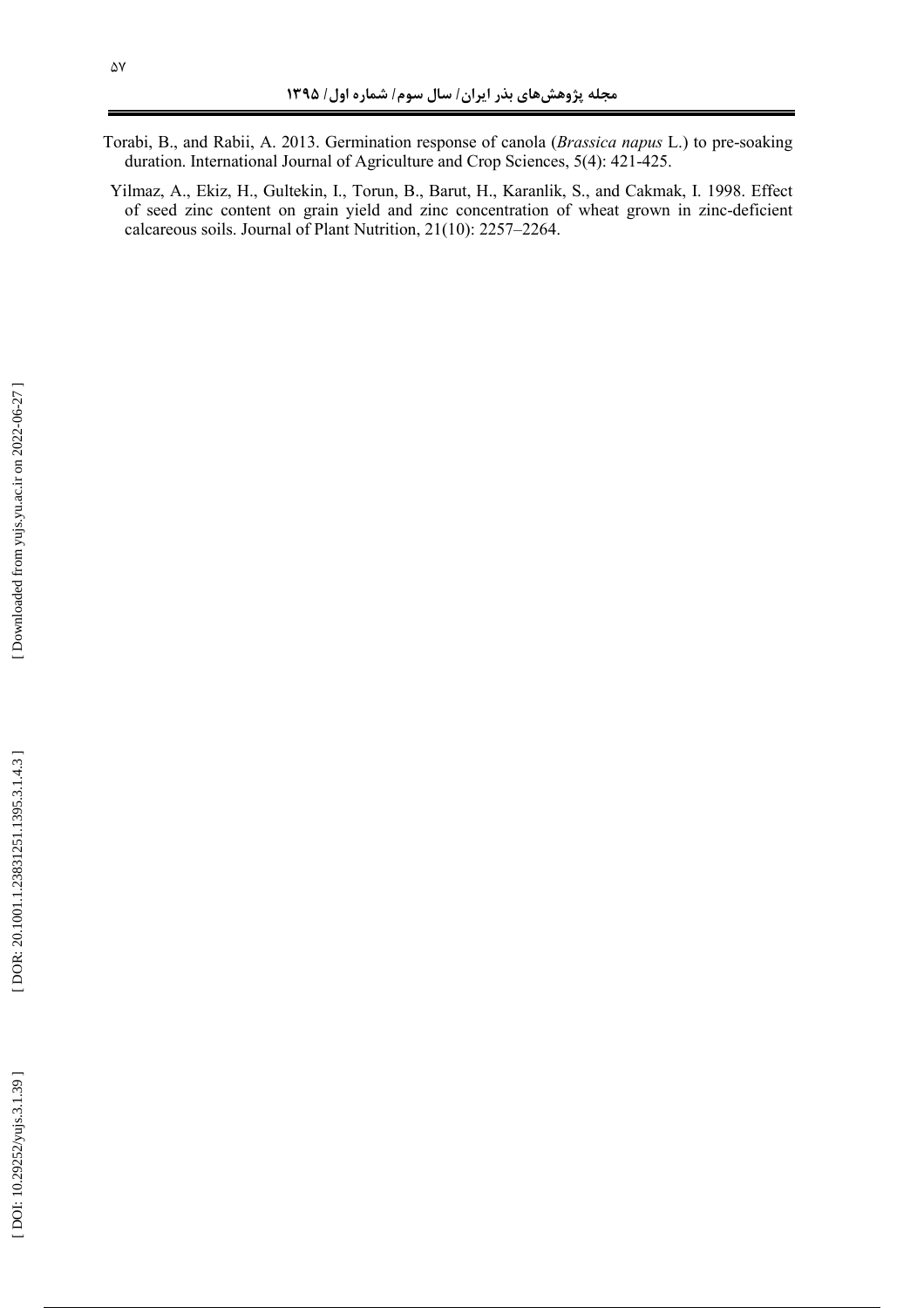- Torabi, B., and Rabii, A. 2013. Germination response of canola (*Brassica napus* L.) to pre-soaking duration. International Journal of Agriculture and Crop Sciences, 5(4): 421-425.
- Yilmaz, A., Ekiz, H., Gultekin, I., Torun, B., Barut, H., Karanlik, S., and Cakmak, I. 1998. Effect of seed zinc content on grain yield and zinc concentration of wheat grown in zinc-deficient calcareous soils. Journal of Plant Nutrition, 21(10): 2257–2264.